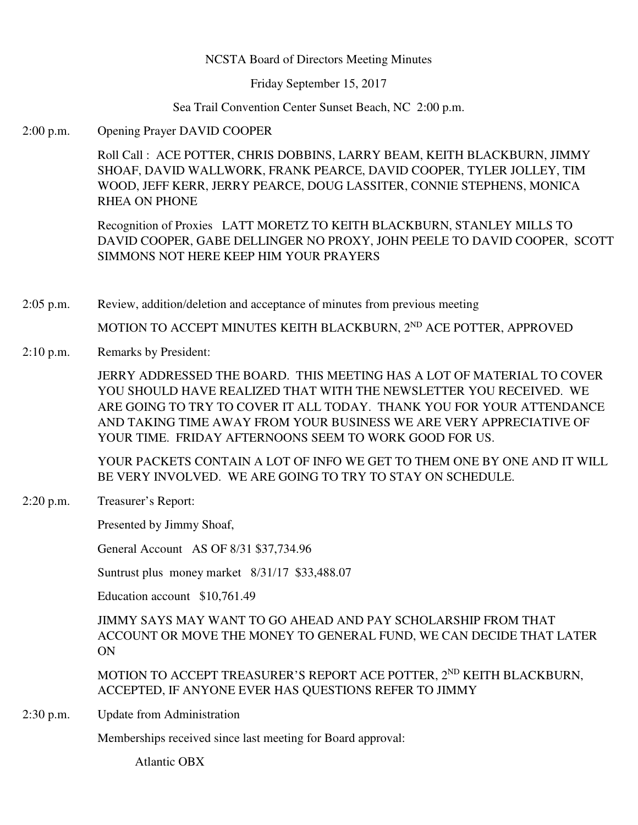### NCSTA Board of Directors Meeting Minutes

Friday September 15, 2017

Sea Trail Convention Center Sunset Beach, NC 2:00 p.m.

2:00 p.m. Opening Prayer DAVID COOPER

Roll Call : ACE POTTER, CHRIS DOBBINS, LARRY BEAM, KEITH BLACKBURN, JIMMY SHOAF, DAVID WALLWORK, FRANK PEARCE, DAVID COOPER, TYLER JOLLEY, TIM WOOD, JEFF KERR, JERRY PEARCE, DOUG LASSITER, CONNIE STEPHENS, MONICA RHEA ON PHONE

Recognition of Proxies LATT MORETZ TO KEITH BLACKBURN, STANLEY MILLS TO DAVID COOPER, GABE DELLINGER NO PROXY, JOHN PEELE TO DAVID COOPER, SCOTT SIMMONS NOT HERE KEEP HIM YOUR PRAYERS

2:05 p.m. Review, addition/deletion and acceptance of minutes from previous meeting

MOTION TO ACCEPT MINUTES KEITH BLACKBURN, 2<sup>ND</sup> ACE POTTER, APPROVED

2:10 p.m. Remarks by President:

JERRY ADDRESSED THE BOARD. THIS MEETING HAS A LOT OF MATERIAL TO COVER YOU SHOULD HAVE REALIZED THAT WITH THE NEWSLETTER YOU RECEIVED. WE ARE GOING TO TRY TO COVER IT ALL TODAY. THANK YOU FOR YOUR ATTENDANCE AND TAKING TIME AWAY FROM YOUR BUSINESS WE ARE VERY APPRECIATIVE OF YOUR TIME. FRIDAY AFTERNOONS SEEM TO WORK GOOD FOR US.

YOUR PACKETS CONTAIN A LOT OF INFO WE GET TO THEM ONE BY ONE AND IT WILL BE VERY INVOLVED. WE ARE GOING TO TRY TO STAY ON SCHEDULE.

2:20 p.m. Treasurer's Report:

Presented by Jimmy Shoaf,

General Account AS OF 8/31 \$37,734.96

Suntrust plus money market 8/31/17 \$33,488.07

Education account \$10,761.49

JIMMY SAYS MAY WANT TO GO AHEAD AND PAY SCHOLARSHIP FROM THAT ACCOUNT OR MOVE THE MONEY TO GENERAL FUND, WE CAN DECIDE THAT LATER ON

MOTION TO ACCEPT TREASURER'S REPORT ACE POTTER, 2<sup>ND</sup> KEITH BLACKBURN, ACCEPTED, IF ANYONE EVER HAS QUESTIONS REFER TO JIMMY

2:30 p.m. Update from Administration

Memberships received since last meeting for Board approval:

Atlantic OBX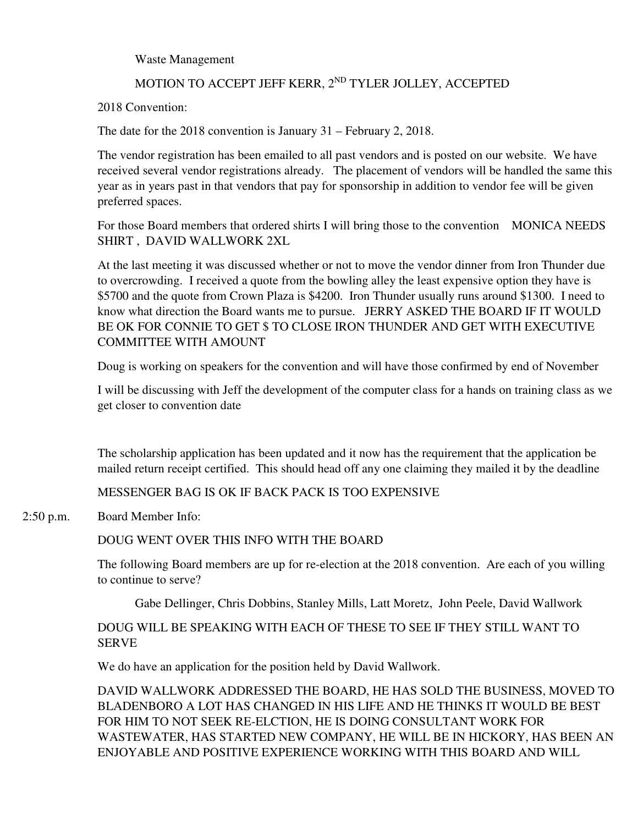Waste Management

# MOTION TO ACCEPT JEFF KERR, 2<sup>ND</sup> TYLER JOLLEY, ACCEPTED

2018 Convention:

The date for the 2018 convention is January 31 – February 2, 2018.

The vendor registration has been emailed to all past vendors and is posted on our website. We have received several vendor registrations already. The placement of vendors will be handled the same this year as in years past in that vendors that pay for sponsorship in addition to vendor fee will be given preferred spaces.

For those Board members that ordered shirts I will bring those to the convention MONICA NEEDS SHIRT , DAVID WALLWORK 2XL

At the last meeting it was discussed whether or not to move the vendor dinner from Iron Thunder due to overcrowding. I received a quote from the bowling alley the least expensive option they have is \$5700 and the quote from Crown Plaza is \$4200. Iron Thunder usually runs around \$1300. I need to know what direction the Board wants me to pursue. JERRY ASKED THE BOARD IF IT WOULD BE OK FOR CONNIE TO GET \$ TO CLOSE IRON THUNDER AND GET WITH EXECUTIVE COMMITTEE WITH AMOUNT

Doug is working on speakers for the convention and will have those confirmed by end of November

I will be discussing with Jeff the development of the computer class for a hands on training class as we get closer to convention date

The scholarship application has been updated and it now has the requirement that the application be mailed return receipt certified. This should head off any one claiming they mailed it by the deadline

MESSENGER BAG IS OK IF BACK PACK IS TOO EXPENSIVE

2:50 p.m. Board Member Info:

# DOUG WENT OVER THIS INFO WITH THE BOARD

The following Board members are up for re-election at the 2018 convention. Are each of you willing to continue to serve?

Gabe Dellinger, Chris Dobbins, Stanley Mills, Latt Moretz, John Peele, David Wallwork

# DOUG WILL BE SPEAKING WITH EACH OF THESE TO SEE IF THEY STILL WANT TO SERVE

We do have an application for the position held by David Wallwork.

DAVID WALLWORK ADDRESSED THE BOARD, HE HAS SOLD THE BUSINESS, MOVED TO BLADENBORO A LOT HAS CHANGED IN HIS LIFE AND HE THINKS IT WOULD BE BEST FOR HIM TO NOT SEEK RE-ELCTION, HE IS DOING CONSULTANT WORK FOR WASTEWATER, HAS STARTED NEW COMPANY, HE WILL BE IN HICKORY, HAS BEEN AN ENJOYABLE AND POSITIVE EXPERIENCE WORKING WITH THIS BOARD AND WILL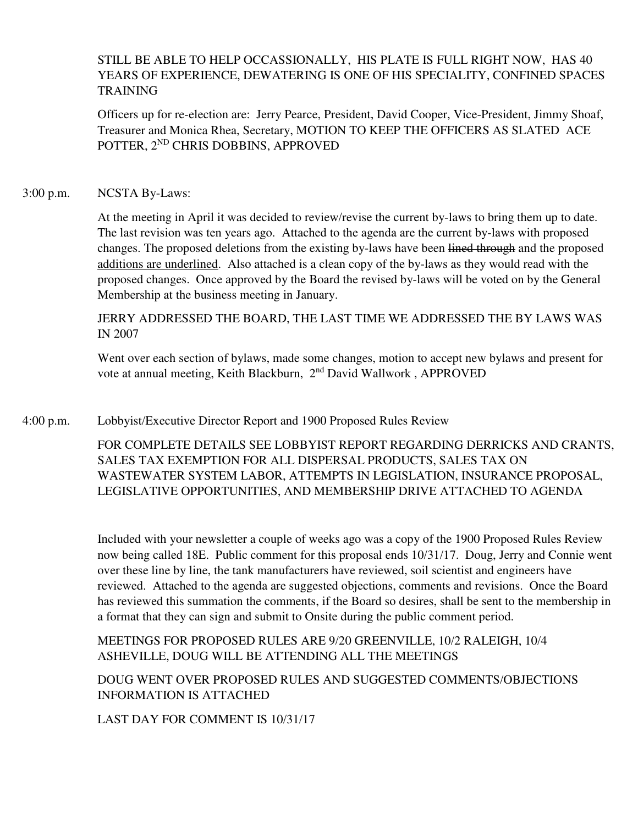# STILL BE ABLE TO HELP OCCASSIONALLY, HIS PLATE IS FULL RIGHT NOW, HAS 40 YEARS OF EXPERIENCE, DEWATERING IS ONE OF HIS SPECIALITY, CONFINED SPACES TRAINING

Officers up for re-election are: Jerry Pearce, President, David Cooper, Vice-President, Jimmy Shoaf, Treasurer and Monica Rhea, Secretary, MOTION TO KEEP THE OFFICERS AS SLATED ACE POTTER, 2<sup>ND</sup> CHRIS DOBBINS, APPROVED

### 3:00 p.m. NCSTA By-Laws:

At the meeting in April it was decided to review/revise the current by-laws to bring them up to date. The last revision was ten years ago. Attached to the agenda are the current by-laws with proposed changes. The proposed deletions from the existing by-laws have been lined through and the proposed additions are underlined. Also attached is a clean copy of the by-laws as they would read with the proposed changes. Once approved by the Board the revised by-laws will be voted on by the General Membership at the business meeting in January.

JERRY ADDRESSED THE BOARD, THE LAST TIME WE ADDRESSED THE BY LAWS WAS IN 2007

Went over each section of bylaws, made some changes, motion to accept new bylaws and present for vote at annual meeting, Keith Blackburn, 2<sup>nd</sup> David Wallwork, APPROVED

4:00 p.m. Lobbyist/Executive Director Report and 1900 Proposed Rules Review

FOR COMPLETE DETAILS SEE LOBBYIST REPORT REGARDING DERRICKS AND CRANTS, SALES TAX EXEMPTION FOR ALL DISPERSAL PRODUCTS, SALES TAX ON WASTEWATER SYSTEM LABOR, ATTEMPTS IN LEGISLATION, INSURANCE PROPOSAL, LEGISLATIVE OPPORTUNITIES, AND MEMBERSHIP DRIVE ATTACHED TO AGENDA

Included with your newsletter a couple of weeks ago was a copy of the 1900 Proposed Rules Review now being called 18E. Public comment for this proposal ends 10/31/17. Doug, Jerry and Connie went over these line by line, the tank manufacturers have reviewed, soil scientist and engineers have reviewed. Attached to the agenda are suggested objections, comments and revisions. Once the Board has reviewed this summation the comments, if the Board so desires, shall be sent to the membership in a format that they can sign and submit to Onsite during the public comment period.

MEETINGS FOR PROPOSED RULES ARE 9/20 GREENVILLE, 10/2 RALEIGH, 10/4 ASHEVILLE, DOUG WILL BE ATTENDING ALL THE MEETINGS

DOUG WENT OVER PROPOSED RULES AND SUGGESTED COMMENTS/OBJECTIONS INFORMATION IS ATTACHED

LAST DAY FOR COMMENT IS 10/31/17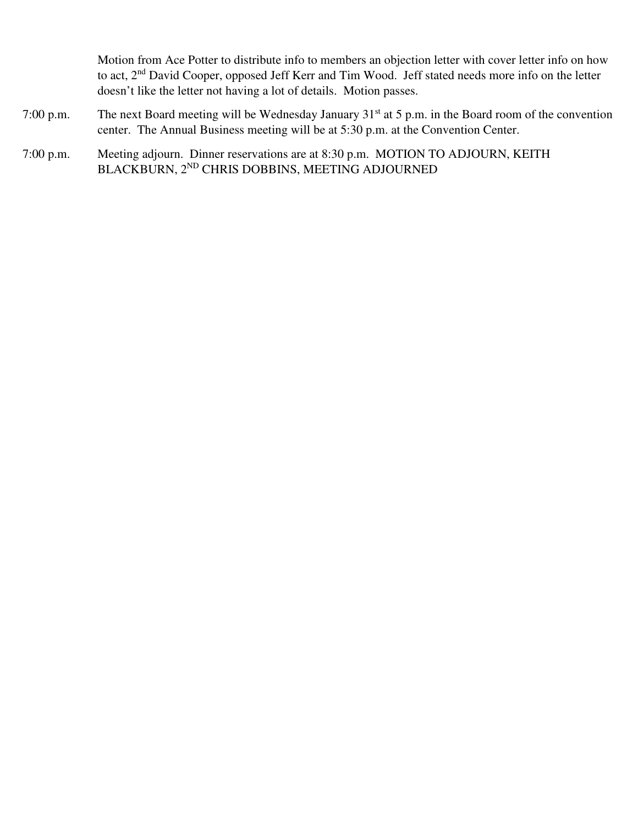Motion from Ace Potter to distribute info to members an objection letter with cover letter info on how to act, 2<sup>nd</sup> David Cooper, opposed Jeff Kerr and Tim Wood. Jeff stated needs more info on the letter doesn't like the letter not having a lot of details. Motion passes.

- 7:00 p.m. The next Board meeting will be Wednesday January 31st at 5 p.m. in the Board room of the convention center. The Annual Business meeting will be at 5:30 p.m. at the Convention Center.
- 7:00 p.m. Meeting adjourn. Dinner reservations are at 8:30 p.m. MOTION TO ADJOURN, KEITH BLACKBURN, 2ND CHRIS DOBBINS, MEETING ADJOURNED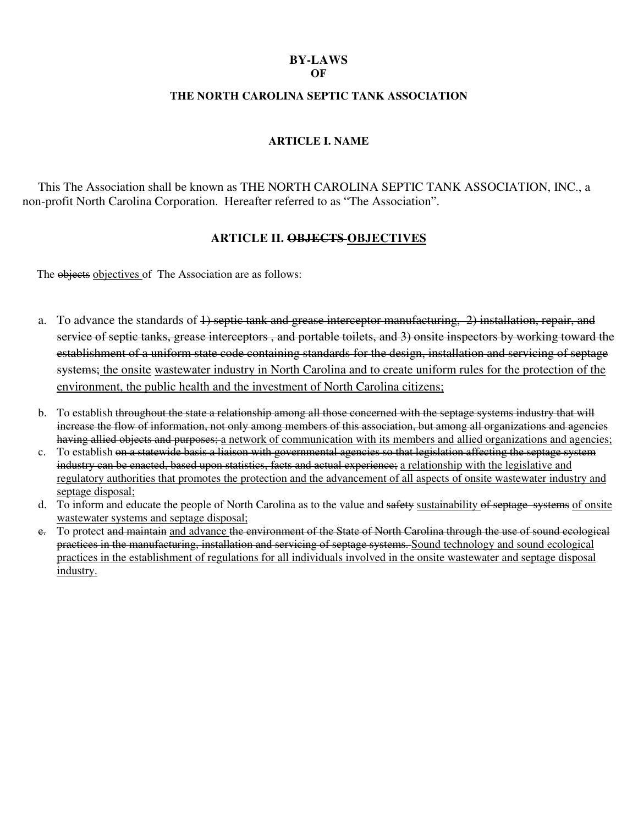# **BY-LAWS**

### **OF**

### **THE NORTH CAROLINA SEPTIC TANK ASSOCIATION**

### **ARTICLE I. NAME**

This The Association shall be known as THE NORTH CAROLINA SEPTIC TANK ASSOCIATION, INC., a non-profit North Carolina Corporation. Hereafter referred to as "The Association".

# **ARTICLE II. OBJECTS OBJECTIVES**

The objects objectives of The Association are as follows:

- a. To advance the standards of 4) septic tank and grease interceptor manufacturing, 2) installation, repair, and service of septic tanks, grease interceptors , and portable toilets, and 3) onsite inspectors by working toward the establishment of a uniform state code containing standards for the design, installation and servicing of septage systems; the onsite wastewater industry in North Carolina and to create uniform rules for the protection of the environment, the public health and the investment of North Carolina citizens;
- b. To establish throughout the state a relationship among all those concerned with the septage systems industry that will increase the flow of information, not only among members of this association, but among all organizations and agencies having allied objects and purposes; a network of communication with its members and allied organizations and agencies;
- c. To establish on a statewide basis a liaison with governmental agencies so that legislation affecting the septage system industry can be enacted, based upon statistics, facts and actual experience; a relationship with the legislative and regulatory authorities that promotes the protection and the advancement of all aspects of onsite wastewater industry and septage disposal;
- d. To inform and educate the people of North Carolina as to the value and safety sustainability of septage systems of onsite wastewater systems and septage disposal;
- e. To protect and maintain and advance the environment of the State of North Carolina through the use of sound ecological practices in the manufacturing, installation and servicing of septage systems. Sound technology and sound ecological practices in the establishment of regulations for all individuals involved in the onsite wastewater and septage disposal industry.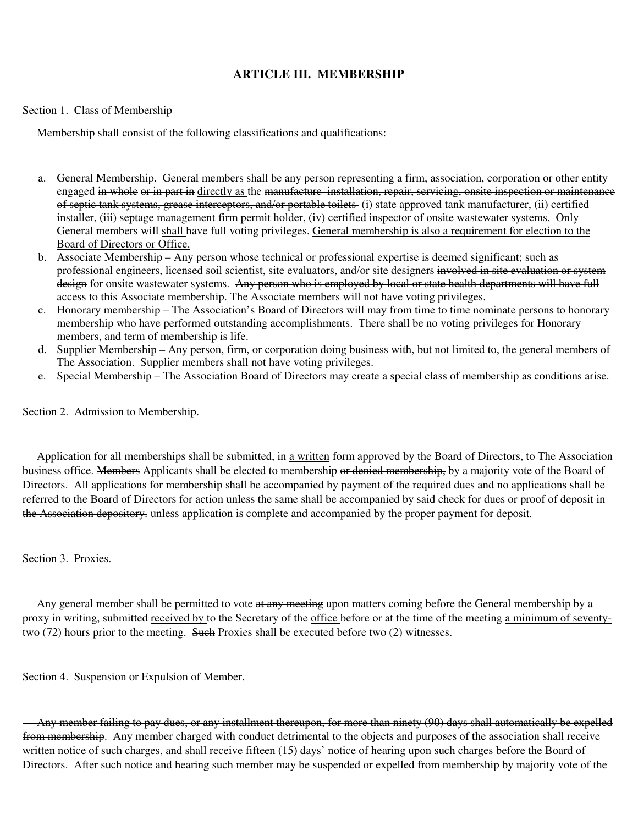### **ARTICLE III. MEMBERSHIP**

#### Section 1. Class of Membership

Membership shall consist of the following classifications and qualifications:

- a. General Membership. General members shall be any person representing a firm, association, corporation or other entity engaged in whole or in part in directly as the manufacture installation, repair, servicing, onsite inspection or maintenance of septic tank systems, grease interceptors, and/or portable toilets (i) state approved tank manufacturer, (ii) certified installer, (iii) septage management firm permit holder, (iv) certified inspector of onsite wastewater systems. Only General members will shall have full voting privileges. General membership is also a requirement for election to the Board of Directors or Office.
- b. Associate Membership Any person whose technical or professional expertise is deemed significant; such as professional engineers, licensed soil scientist, site evaluators, and/or site designers involved in site evaluation or system design for onsite wastewater systems. Any person who is employed by local or state health departments will have full access to this Associate membership. The Associate members will not have voting privileges.
- c. Honorary membership The Association's Board of Directors will may from time to time nominate persons to honorary membership who have performed outstanding accomplishments. There shall be no voting privileges for Honorary members, and term of membership is life.
- d. Supplier Membership Any person, firm, or corporation doing business with, but not limited to, the general members of The Association. Supplier members shall not have voting privileges.
- e. Special Membership The Association Board of Directors may create a special class of membership as conditions arise.

Section 2. Admission to Membership.

Application for all memberships shall be submitted, in a written form approved by the Board of Directors, to The Association business office. Members Applicants shall be elected to membership or denied membership, by a majority vote of the Board of Directors. All applications for membership shall be accompanied by payment of the required dues and no applications shall be referred to the Board of Directors for action unless the same shall be accompanied by said check for dues or proof of deposit in the Association depository. unless application is complete and accompanied by the proper payment for deposit.

Section 3. Proxies.

Any general member shall be permitted to vote at any meeting upon matters coming before the General membership by a proxy in writing, submitted received by to the Secretary of the office before or at the time of the meeting a minimum of seventytwo (72) hours prior to the meeting. Such Proxies shall be executed before two (2) witnesses.

Section 4. Suspension or Expulsion of Member.

 Any member failing to pay dues, or any installment thereupon, for more than ninety (90) days shall automatically be expelled from membership. Any member charged with conduct detrimental to the objects and purposes of the association shall receive written notice of such charges, and shall receive fifteen (15) days' notice of hearing upon such charges before the Board of Directors. After such notice and hearing such member may be suspended or expelled from membership by majority vote of the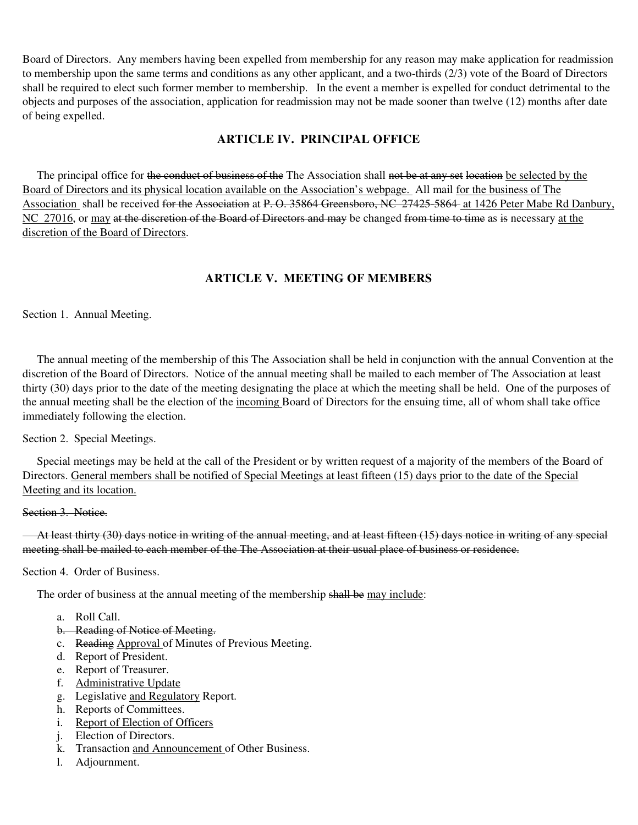Board of Directors. Any members having been expelled from membership for any reason may make application for readmission to membership upon the same terms and conditions as any other applicant, and a two-thirds (2/3) vote of the Board of Directors shall be required to elect such former member to membership. In the event a member is expelled for conduct detrimental to the objects and purposes of the association, application for readmission may not be made sooner than twelve (12) months after date of being expelled.

### **ARTICLE IV. PRINCIPAL OFFICE**

The principal office for the conduct of business of the The Association shall not be at any set location be selected by the Board of Directors and its physical location available on the Association's webpage. All mail for the business of The Association shall be received <del>for the Association</del> at P. O. 35864 Greensboro, NC 27425-5864 at 1426 Peter Mabe Rd Danbury, NC 27016, or may at the discretion of the Board of Directors and may be changed from time to time as is necessary at the discretion of the Board of Directors.

# **ARTICLE V. MEETING OF MEMBERS**

Section 1. Annual Meeting.

 The annual meeting of the membership of this The Association shall be held in conjunction with the annual Convention at the discretion of the Board of Directors. Notice of the annual meeting shall be mailed to each member of The Association at least thirty (30) days prior to the date of the meeting designating the place at which the meeting shall be held. One of the purposes of the annual meeting shall be the election of the incoming Board of Directors for the ensuing time, all of whom shall take office immediately following the election.

Section 2. Special Meetings.

 Special meetings may be held at the call of the President or by written request of a majority of the members of the Board of Directors. General members shall be notified of Special Meetings at least fifteen (15) days prior to the date of the Special Meeting and its location.

#### Section 3. Notice.

 At least thirty (30) days notice in writing of the annual meeting, and at least fifteen (15) days notice in writing of any special meeting shall be mailed to each member of the The Association at their usual place of business or residence.

Section 4. Order of Business.

The order of business at the annual meeting of the membership shall be may include:

- a. Roll Call.
- b. Reading of Notice of Meeting.
- c. Reading Approval of Minutes of Previous Meeting.
- d. Report of President.
- e. Report of Treasurer.
- f. Administrative Update
- g. Legislative and Regulatory Report.
- h. Reports of Committees.
- i. Report of Election of Officers
- j. Election of Directors.
- k. Transaction and Announcement of Other Business.
- l. Adjournment.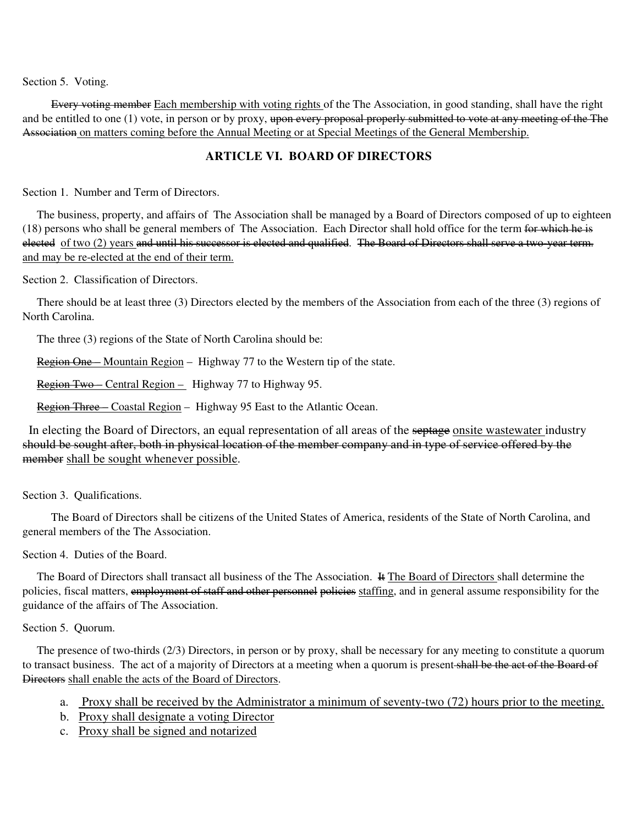Section 5. Voting.

 Every voting member Each membership with voting rights of the The Association, in good standing, shall have the right and be entitled to one (1) vote, in person or by proxy, upon every proposal properly submitted to vote at any meeting of the The Association on matters coming before the Annual Meeting or at Special Meetings of the General Membership.

### **ARTICLE VI. BOARD OF DIRECTORS**

Section 1. Number and Term of Directors.

 The business, property, and affairs of The Association shall be managed by a Board of Directors composed of up to eighteen (18) persons who shall be general members of The Association. Each Director shall hold office for the term for which he is elected of two (2) years and until his successor is elected and qualified. The Board of Directors shall serve a two-year term. and may be re-elected at the end of their term.

Section 2. Classification of Directors.

 There should be at least three (3) Directors elected by the members of the Association from each of the three (3) regions of North Carolina.

The three (3) regions of the State of North Carolina should be:

Region One – Mountain Region – Highway 77 to the Western tip of the state.

Region Two – Central Region – Highway 77 to Highway 95.

Region Three – Coastal Region – Highway 95 East to the Atlantic Ocean.

In electing the Board of Directors, an equal representation of all areas of the septage onsite wastewater industry should be sought after, both in physical location of the member company and in type of service offered by the member shall be sought whenever possible.

Section 3. Qualifications.

 The Board of Directors shall be citizens of the United States of America, residents of the State of North Carolina, and general members of the The Association.

Section 4. Duties of the Board.

 The Board of Directors shall transact all business of the The Association. It The Board of Directors shall determine the policies, fiscal matters, employment of staff and other personnel policies staffing, and in general assume responsibility for the guidance of the affairs of The Association.

#### Section 5. Quorum.

 The presence of two-thirds (2/3) Directors, in person or by proxy, shall be necessary for any meeting to constitute a quorum to transact business. The act of a majority of Directors at a meeting when a quorum is present shall be the act of the Board of Directors shall enable the acts of the Board of Directors.

- a. Proxy shall be received by the Administrator a minimum of seventy-two (72) hours prior to the meeting.
- b. Proxy shall designate a voting Director
- c. Proxy shall be signed and notarized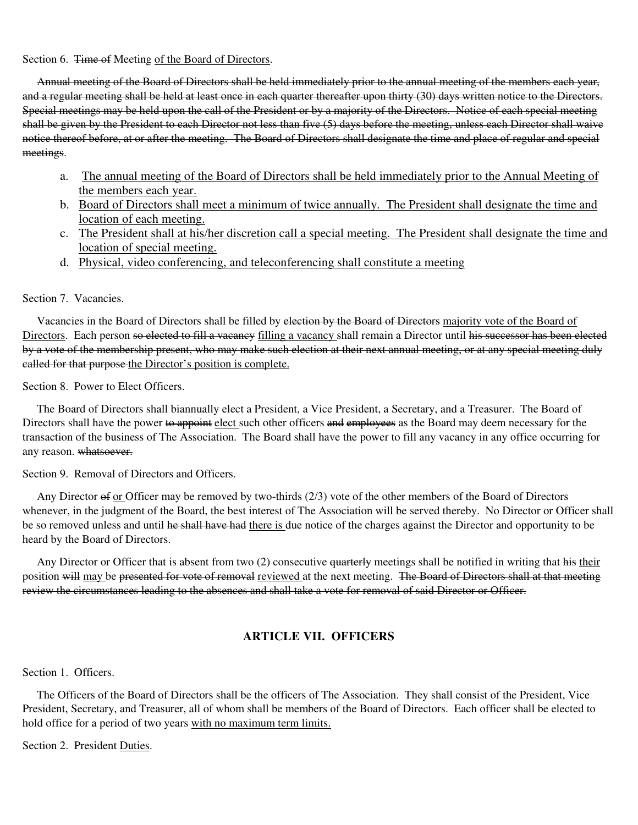#### Section 6. Time of Meeting of the Board of Directors.

 Annual meeting of the Board of Directors shall be held immediately prior to the annual meeting of the members each year, and a regular meeting shall be held at least once in each quarter thereafter upon thirty (30) days written notice to the Directors. Special meetings may be held upon the call of the President or by a majority of the Directors. Notice of each special meeting shall be given by the President to each Director not less than five (5) days before the meeting, unless each Director shall waive notice thereof before, at or after the meeting. The Board of Directors shall designate the time and place of regular and special meetings.

- a. The annual meeting of the Board of Directors shall be held immediately prior to the Annual Meeting of the members each year.
- b. Board of Directors shall meet a minimum of twice annually. The President shall designate the time and location of each meeting.
- c. The President shall at his/her discretion call a special meeting. The President shall designate the time and location of special meeting.
- d. Physical, video conferencing, and teleconferencing shall constitute a meeting

#### Section 7. Vacancies.

Vacancies in the Board of Directors shall be filled by election by the Board of Directors majority vote of the Board of Directors. Each person so elected to fill a vacancy filling a vacancy shall remain a Director until his successor has been elected by a vote of the membership present, who may make such election at their next annual meeting, or at any special meeting duly called for that purpose the Director's position is complete.

Section 8. Power to Elect Officers.

 The Board of Directors shall biannually elect a President, a Vice President, a Secretary, and a Treasurer. The Board of Directors shall have the power to appoint elect such other officers and employees as the Board may deem necessary for the transaction of the business of The Association. The Board shall have the power to fill any vacancy in any office occurring for any reason. whatsoever.

Section 9. Removal of Directors and Officers.

Any Director of or Officer may be removed by two-thirds (2/3) vote of the other members of the Board of Directors whenever, in the judgment of the Board, the best interest of The Association will be served thereby. No Director or Officer shall be so removed unless and until he shall have had there is due notice of the charges against the Director and opportunity to be heard by the Board of Directors.

Any Director or Officer that is absent from two (2) consecutive quarterly meetings shall be notified in writing that his their position will may be presented for vote of removal reviewed at the next meeting. The Board of Directors shall at that meeting review the circumstances leading to the absences and shall take a vote for removal of said Director or Officer.

# **ARTICLE VII. OFFICERS**

Section 1. Officers.

 The Officers of the Board of Directors shall be the officers of The Association. They shall consist of the President, Vice President, Secretary, and Treasurer, all of whom shall be members of the Board of Directors. Each officer shall be elected to hold office for a period of two years with no maximum term limits.

Section 2. President Duties.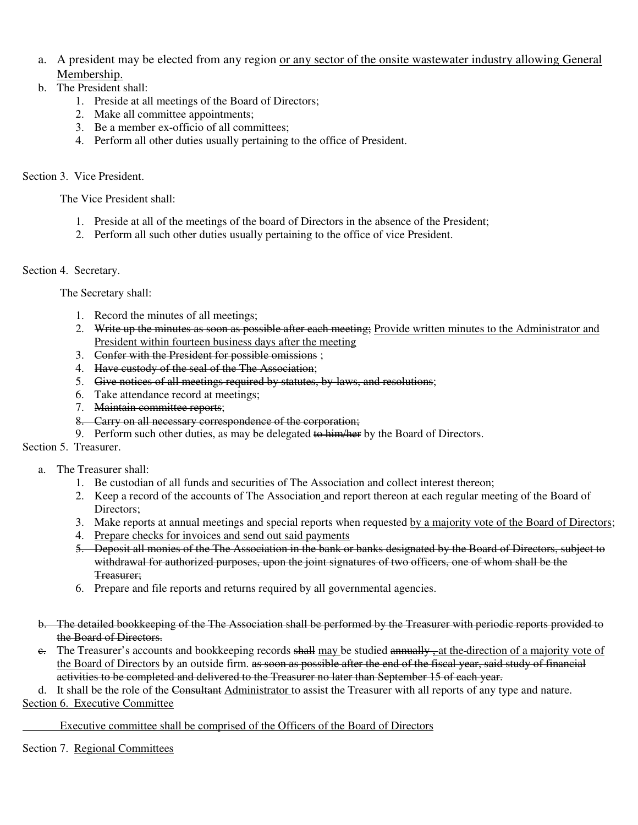- a. A president may be elected from any region or any sector of the onsite wastewater industry allowing General Membership.
- b. The President shall:
	- 1. Preside at all meetings of the Board of Directors;
	- 2. Make all committee appointments;
	- 3. Be a member ex-officio of all committees;
	- 4. Perform all other duties usually pertaining to the office of President.

### Section 3. Vice President.

The Vice President shall:

- 1. Preside at all of the meetings of the board of Directors in the absence of the President;
- 2. Perform all such other duties usually pertaining to the office of vice President.

### Section 4. Secretary.

The Secretary shall:

- 1. Record the minutes of all meetings;
- 2. Write up the minutes as soon as possible after each meeting; Provide written minutes to the Administrator and President within fourteen business days after the meeting
- 3. Confer with the President for possible omissions ;
- 4. Have custody of the seal of the The Association;
- 5. Give notices of all meetings required by statutes, by-laws, and resolutions;
- 6. Take attendance record at meetings;
- 7. Maintain committee reports;
- 8. Carry on all necessary correspondence of the corporation;
- 9. Perform such other duties, as may be delegated to him/her by the Board of Directors.

Section 5. Treasurer.

#### a. The Treasurer shall:

- 1. Be custodian of all funds and securities of The Association and collect interest thereon;
- 2. Keep a record of the accounts of The Association and report thereon at each regular meeting of the Board of Directors;
- 3. Make reports at annual meetings and special reports when requested by a majority vote of the Board of Directors;
- 4. Prepare checks for invoices and send out said payments
- 5. Deposit all monies of the The Association in the bank or banks designated by the Board of Directors, subject to withdrawal for authorized purposes, upon the joint signatures of two officers, one of whom shall be the Treasurer;
- 6. Prepare and file reports and returns required by all governmental agencies.
- b. The detailed bookkeeping of the The Association shall be performed by the Treasurer with periodic reports provided to the Board of Directors.
- e. The Treasurer's accounts and bookkeeping records shall may be studied annually, at the direction of a majority vote of the Board of Directors by an outside firm. as soon as possible after the end of the fiscal year, said study of financial activities to be completed and delivered to the Treasurer no later than September 15 of each year.

d. It shall be the role of the Consultant Administrator to assist the Treasurer with all reports of any type and nature.

Section 6. Executive Committee

#### Executive committee shall be comprised of the Officers of the Board of Directors

Section 7. Regional Committees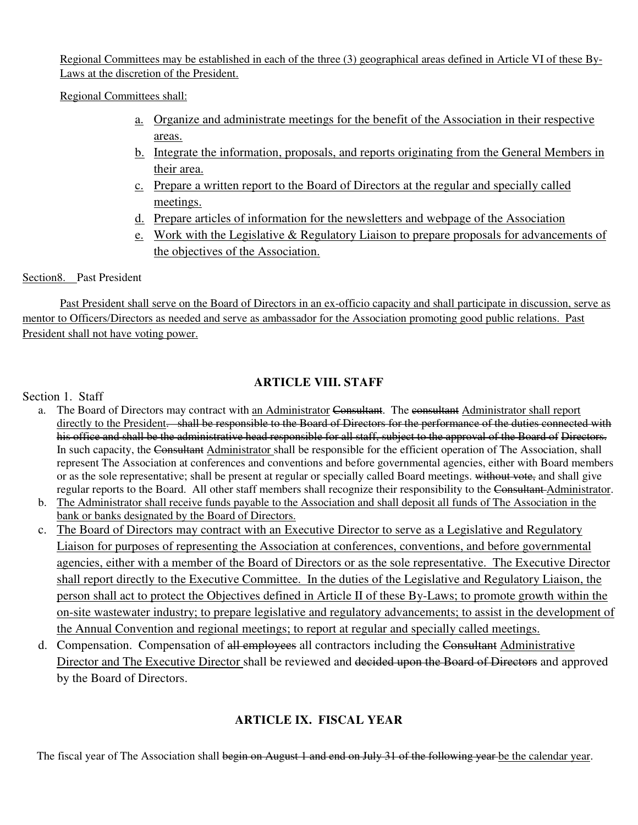Regional Committees may be established in each of the three (3) geographical areas defined in Article VI of these By-Laws at the discretion of the President.

Regional Committees shall:

- a. Organize and administrate meetings for the benefit of the Association in their respective areas.
- b. Integrate the information, proposals, and reports originating from the General Members in their area.
- c. Prepare a written report to the Board of Directors at the regular and specially called meetings.
- d. Prepare articles of information for the newsletters and webpage of the Association
- e. Work with the Legislative & Regulatory Liaison to prepare proposals for advancements of the objectives of the Association.

### Section8. Past President

Past President shall serve on the Board of Directors in an ex-officio capacity and shall participate in discussion, serve as mentor to Officers/Directors as needed and serve as ambassador for the Association promoting good public relations. Past President shall not have voting power.

# **ARTICLE VIII. STAFF**

### Section 1. Staff

- a. The Board of Directors may contract with an Administrator Consultant. The consultant Administrator shall report directly to the President. shall be responsible to the Board of Directors for the performance of the duties connected with his office and shall be the administrative head responsible for all staff, subject to the approval of the Board of Directors. In such capacity, the Consultant Administrator shall be responsible for the efficient operation of The Association, shall represent The Association at conferences and conventions and before governmental agencies, either with Board members or as the sole representative; shall be present at regular or specially called Board meetings. without vote, and shall give regular reports to the Board. All other staff members shall recognize their responsibility to the Consultant Administrator.
- b. The Administrator shall receive funds payable to the Association and shall deposit all funds of The Association in the bank or banks designated by the Board of Directors.
- c. The Board of Directors may contract with an Executive Director to serve as a Legislative and Regulatory Liaison for purposes of representing the Association at conferences, conventions, and before governmental agencies, either with a member of the Board of Directors or as the sole representative. The Executive Director shall report directly to the Executive Committee. In the duties of the Legislative and Regulatory Liaison, the person shall act to protect the Objectives defined in Article II of these By-Laws; to promote growth within the on-site wastewater industry; to prepare legislative and regulatory advancements; to assist in the development of the Annual Convention and regional meetings; to report at regular and specially called meetings.
- d. Compensation. Compensation of all employees all contractors including the Consultant Administrative Director and The Executive Director shall be reviewed and decided upon the Board of Directors and approved by the Board of Directors.

# **ARTICLE IX. FISCAL YEAR**

The fiscal year of The Association shall begin on August 1 and end on July 31 of the following year be the calendar year.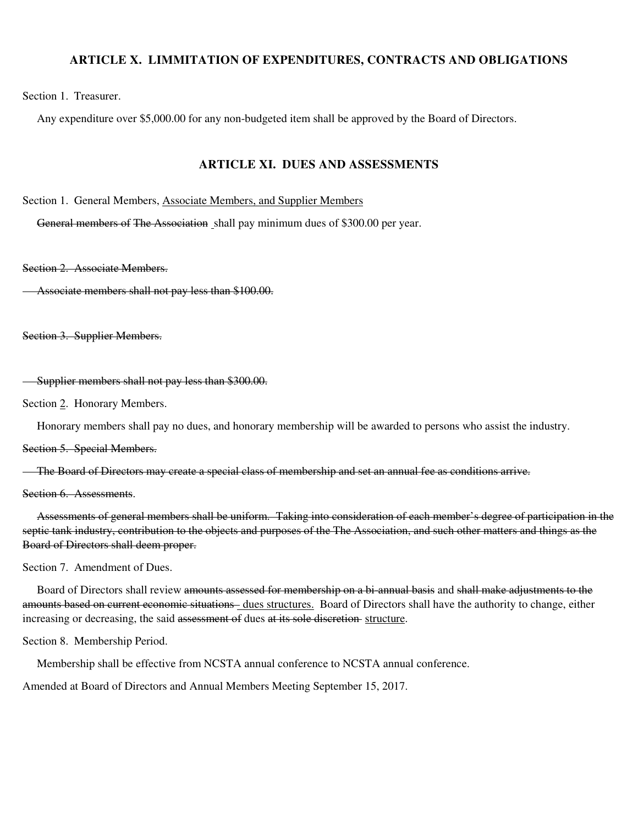#### **ARTICLE X. LIMMITATION OF EXPENDITURES, CONTRACTS AND OBLIGATIONS**

Section 1. Treasurer.

Any expenditure over \$5,000.00 for any non-budgeted item shall be approved by the Board of Directors.

#### **ARTICLE XI. DUES AND ASSESSMENTS**

Section 1. General Members, Associate Members, and Supplier Members

General members of The Association shall pay minimum dues of \$300.00 per year.

Section 2. Associate Members.

Associate members shall not pay less than \$100.00.

Section 3. Supplier Members.

Supplier members shall not pay less than \$300.00.

Section 2. Honorary Members.

Honorary members shall pay no dues, and honorary membership will be awarded to persons who assist the industry.

Section 5. Special Members.

The Board of Directors may create a special class of membership and set an annual fee as conditions arrive.

Section 6. Assessments.

 Assessments of general members shall be uniform. Taking into consideration of each member's degree of participation in the septic tank industry, contribution to the objects and purposes of the The Association, and such other matters and things as the Board of Directors shall deem proper.

Section 7. Amendment of Dues.

 Board of Directors shall review amounts assessed for membership on a bi-annual basis and shall make adjustments to the amounts based on current economic situations - dues structures. Board of Directors shall have the authority to change, either increasing or decreasing, the said assessment of dues at its sole discretion-structure.

Section 8. Membership Period.

Membership shall be effective from NCSTA annual conference to NCSTA annual conference.

Amended at Board of Directors and Annual Members Meeting September 15, 2017.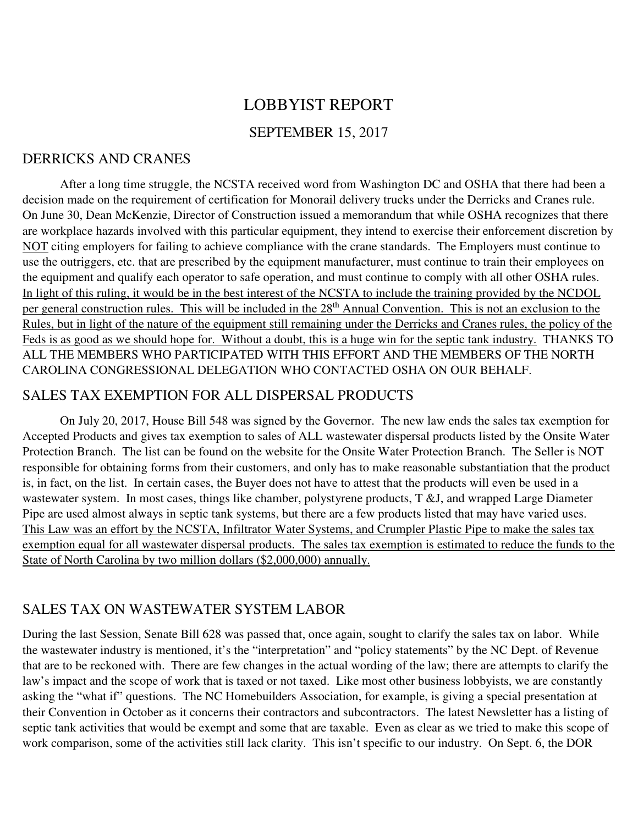# LOBBYIST REPORT SEPTEMBER 15, 2017

# DERRICKS AND CRANES

After a long time struggle, the NCSTA received word from Washington DC and OSHA that there had been a decision made on the requirement of certification for Monorail delivery trucks under the Derricks and Cranes rule. On June 30, Dean McKenzie, Director of Construction issued a memorandum that while OSHA recognizes that there are workplace hazards involved with this particular equipment, they intend to exercise their enforcement discretion by NOT citing employers for failing to achieve compliance with the crane standards. The Employers must continue to use the outriggers, etc. that are prescribed by the equipment manufacturer, must continue to train their employees on the equipment and qualify each operator to safe operation, and must continue to comply with all other OSHA rules. In light of this ruling, it would be in the best interest of the NCSTA to include the training provided by the NCDOL per general construction rules. This will be included in the 28<sup>th</sup> Annual Convention. This is not an exclusion to the Rules, but in light of the nature of the equipment still remaining under the Derricks and Cranes rules, the policy of the Feds is as good as we should hope for. Without a doubt, this is a huge win for the septic tank industry. THANKS TO ALL THE MEMBERS WHO PARTICIPATED WITH THIS EFFORT AND THE MEMBERS OF THE NORTH CAROLINA CONGRESSIONAL DELEGATION WHO CONTACTED OSHA ON OUR BEHALF.

# SALES TAX EXEMPTION FOR ALL DISPERSAL PRODUCTS

On July 20, 2017, House Bill 548 was signed by the Governor. The new law ends the sales tax exemption for Accepted Products and gives tax exemption to sales of ALL wastewater dispersal products listed by the Onsite Water Protection Branch. The list can be found on the website for the Onsite Water Protection Branch. The Seller is NOT responsible for obtaining forms from their customers, and only has to make reasonable substantiation that the product is, in fact, on the list. In certain cases, the Buyer does not have to attest that the products will even be used in a wastewater system. In most cases, things like chamber, polystyrene products, T &J, and wrapped Large Diameter Pipe are used almost always in septic tank systems, but there are a few products listed that may have varied uses. This Law was an effort by the NCSTA, Infiltrator Water Systems, and Crumpler Plastic Pipe to make the sales tax exemption equal for all wastewater dispersal products. The sales tax exemption is estimated to reduce the funds to the State of North Carolina by two million dollars (\$2,000,000) annually.

# SALES TAX ON WASTEWATER SYSTEM LABOR

During the last Session, Senate Bill 628 was passed that, once again, sought to clarify the sales tax on labor. While the wastewater industry is mentioned, it's the "interpretation" and "policy statements" by the NC Dept. of Revenue that are to be reckoned with. There are few changes in the actual wording of the law; there are attempts to clarify the law's impact and the scope of work that is taxed or not taxed. Like most other business lobbyists, we are constantly asking the "what if" questions. The NC Homebuilders Association, for example, is giving a special presentation at their Convention in October as it concerns their contractors and subcontractors. The latest Newsletter has a listing of septic tank activities that would be exempt and some that are taxable. Even as clear as we tried to make this scope of work comparison, some of the activities still lack clarity. This isn't specific to our industry. On Sept. 6, the DOR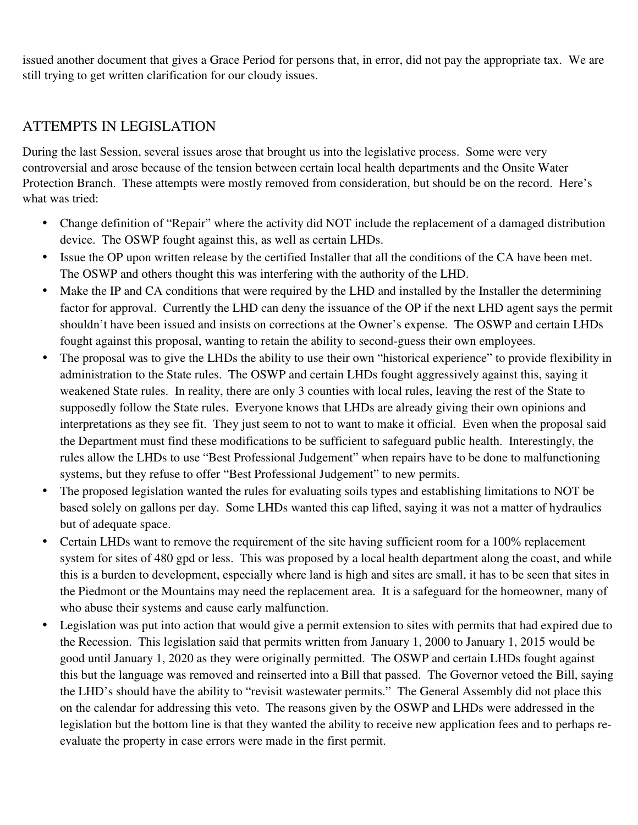issued another document that gives a Grace Period for persons that, in error, did not pay the appropriate tax. We are still trying to get written clarification for our cloudy issues.

# ATTEMPTS IN LEGISLATION

During the last Session, several issues arose that brought us into the legislative process. Some were very controversial and arose because of the tension between certain local health departments and the Onsite Water Protection Branch. These attempts were mostly removed from consideration, but should be on the record. Here's what was tried:

- Change definition of "Repair" where the activity did NOT include the replacement of a damaged distribution device. The OSWP fought against this, as well as certain LHDs.
- Issue the OP upon written release by the certified Installer that all the conditions of the CA have been met. The OSWP and others thought this was interfering with the authority of the LHD.
- Make the IP and CA conditions that were required by the LHD and installed by the Installer the determining factor for approval. Currently the LHD can deny the issuance of the OP if the next LHD agent says the permit shouldn't have been issued and insists on corrections at the Owner's expense. The OSWP and certain LHDs fought against this proposal, wanting to retain the ability to second-guess their own employees.
- The proposal was to give the LHDs the ability to use their own "historical experience" to provide flexibility in administration to the State rules. The OSWP and certain LHDs fought aggressively against this, saying it weakened State rules. In reality, there are only 3 counties with local rules, leaving the rest of the State to supposedly follow the State rules. Everyone knows that LHDs are already giving their own opinions and interpretations as they see fit. They just seem to not to want to make it official. Even when the proposal said the Department must find these modifications to be sufficient to safeguard public health. Interestingly, the rules allow the LHDs to use "Best Professional Judgement" when repairs have to be done to malfunctioning systems, but they refuse to offer "Best Professional Judgement" to new permits.
- The proposed legislation wanted the rules for evaluating soils types and establishing limitations to NOT be based solely on gallons per day. Some LHDs wanted this cap lifted, saying it was not a matter of hydraulics but of adequate space.
- Certain LHDs want to remove the requirement of the site having sufficient room for a 100% replacement system for sites of 480 gpd or less. This was proposed by a local health department along the coast, and while this is a burden to development, especially where land is high and sites are small, it has to be seen that sites in the Piedmont or the Mountains may need the replacement area. It is a safeguard for the homeowner, many of who abuse their systems and cause early malfunction.
- Legislation was put into action that would give a permit extension to sites with permits that had expired due to the Recession. This legislation said that permits written from January 1, 2000 to January 1, 2015 would be good until January 1, 2020 as they were originally permitted. The OSWP and certain LHDs fought against this but the language was removed and reinserted into a Bill that passed. The Governor vetoed the Bill, saying the LHD's should have the ability to "revisit wastewater permits." The General Assembly did not place this on the calendar for addressing this veto. The reasons given by the OSWP and LHDs were addressed in the legislation but the bottom line is that they wanted the ability to receive new application fees and to perhaps reevaluate the property in case errors were made in the first permit.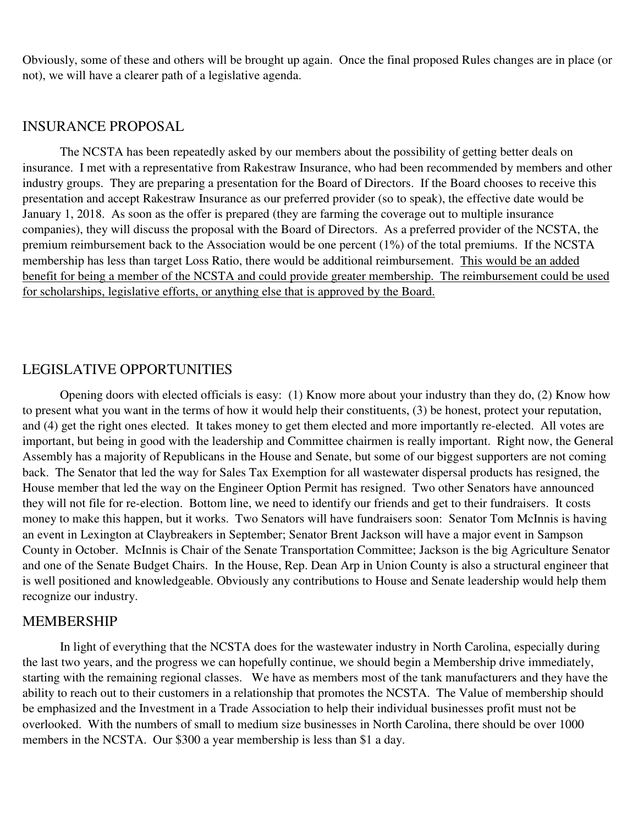Obviously, some of these and others will be brought up again. Once the final proposed Rules changes are in place (or not), we will have a clearer path of a legislative agenda.

# INSURANCE PROPOSAL

The NCSTA has been repeatedly asked by our members about the possibility of getting better deals on insurance. I met with a representative from Rakestraw Insurance, who had been recommended by members and other industry groups. They are preparing a presentation for the Board of Directors. If the Board chooses to receive this presentation and accept Rakestraw Insurance as our preferred provider (so to speak), the effective date would be January 1, 2018. As soon as the offer is prepared (they are farming the coverage out to multiple insurance companies), they will discuss the proposal with the Board of Directors. As a preferred provider of the NCSTA, the premium reimbursement back to the Association would be one percent (1%) of the total premiums. If the NCSTA membership has less than target Loss Ratio, there would be additional reimbursement. This would be an added benefit for being a member of the NCSTA and could provide greater membership. The reimbursement could be used for scholarships, legislative efforts, or anything else that is approved by the Board.

### LEGISLATIVE OPPORTUNITIES

Opening doors with elected officials is easy: (1) Know more about your industry than they do, (2) Know how to present what you want in the terms of how it would help their constituents, (3) be honest, protect your reputation, and (4) get the right ones elected. It takes money to get them elected and more importantly re-elected. All votes are important, but being in good with the leadership and Committee chairmen is really important. Right now, the General Assembly has a majority of Republicans in the House and Senate, but some of our biggest supporters are not coming back. The Senator that led the way for Sales Tax Exemption for all wastewater dispersal products has resigned, the House member that led the way on the Engineer Option Permit has resigned. Two other Senators have announced they will not file for re-election. Bottom line, we need to identify our friends and get to their fundraisers. It costs money to make this happen, but it works. Two Senators will have fundraisers soon: Senator Tom McInnis is having an event in Lexington at Claybreakers in September; Senator Brent Jackson will have a major event in Sampson County in October. McInnis is Chair of the Senate Transportation Committee; Jackson is the big Agriculture Senator and one of the Senate Budget Chairs. In the House, Rep. Dean Arp in Union County is also a structural engineer that is well positioned and knowledgeable. Obviously any contributions to House and Senate leadership would help them recognize our industry.

### MEMBERSHIP

 In light of everything that the NCSTA does for the wastewater industry in North Carolina, especially during the last two years, and the progress we can hopefully continue, we should begin a Membership drive immediately, starting with the remaining regional classes. We have as members most of the tank manufacturers and they have the ability to reach out to their customers in a relationship that promotes the NCSTA. The Value of membership should be emphasized and the Investment in a Trade Association to help their individual businesses profit must not be overlooked. With the numbers of small to medium size businesses in North Carolina, there should be over 1000 members in the NCSTA. Our \$300 a year membership is less than \$1 a day.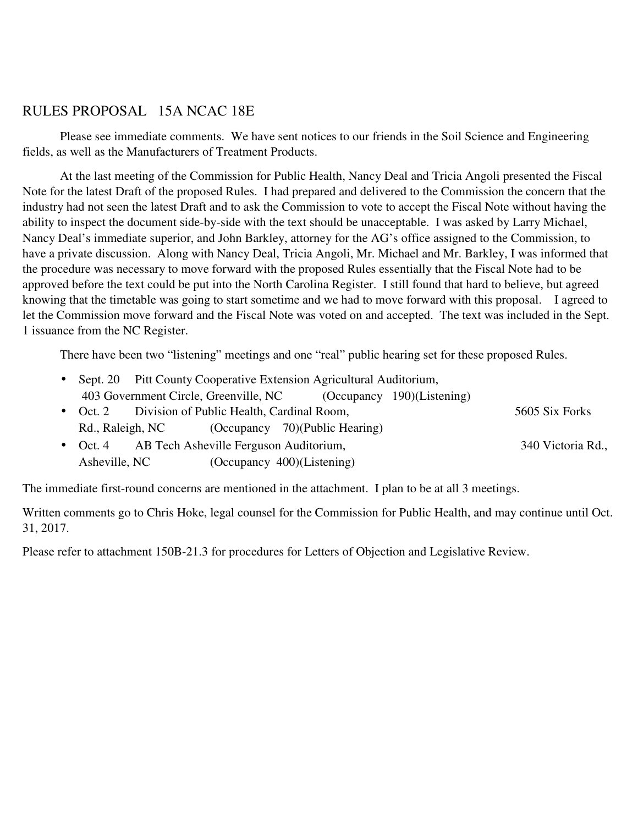# RULES PROPOSAL 15A NCAC 18E

Please see immediate comments. We have sent notices to our friends in the Soil Science and Engineering fields, as well as the Manufacturers of Treatment Products.

 At the last meeting of the Commission for Public Health, Nancy Deal and Tricia Angoli presented the Fiscal Note for the latest Draft of the proposed Rules. I had prepared and delivered to the Commission the concern that the industry had not seen the latest Draft and to ask the Commission to vote to accept the Fiscal Note without having the ability to inspect the document side-by-side with the text should be unacceptable. I was asked by Larry Michael, Nancy Deal's immediate superior, and John Barkley, attorney for the AG's office assigned to the Commission, to have a private discussion. Along with Nancy Deal, Tricia Angoli, Mr. Michael and Mr. Barkley, I was informed that the procedure was necessary to move forward with the proposed Rules essentially that the Fiscal Note had to be approved before the text could be put into the North Carolina Register. I still found that hard to believe, but agreed knowing that the timetable was going to start sometime and we had to move forward with this proposal. I agreed to let the Commission move forward and the Fiscal Note was voted on and accepted. The text was included in the Sept. 1 issuance from the NC Register.

There have been two "listening" meetings and one "real" public hearing set for these proposed Rules.

|               |                                                    | • Sept. 20 Pitt County Cooperative Extension Agricultural Auditorium, |                   |
|---------------|----------------------------------------------------|-----------------------------------------------------------------------|-------------------|
|               |                                                    | 403 Government Circle, Greenville, NC (Occupancy 190)(Listening)      |                   |
|               | • Oct. 2 Division of Public Health, Cardinal Room, |                                                                       | 5605 Six Forks    |
|               |                                                    | Rd., Raleigh, NC (Occupancy 70)(Public Hearing)                       |                   |
|               | • Oct. 4 AB Tech Asheville Ferguson Auditorium,    |                                                                       | 340 Victoria Rd., |
| Asheville, NC |                                                    | (Occupancy 400)(Listening)                                            |                   |

The immediate first-round concerns are mentioned in the attachment. I plan to be at all 3 meetings.

Written comments go to Chris Hoke, legal counsel for the Commission for Public Health, and may continue until Oct. 31, 2017.

Please refer to attachment 150B-21.3 for procedures for Letters of Objection and Legislative Review.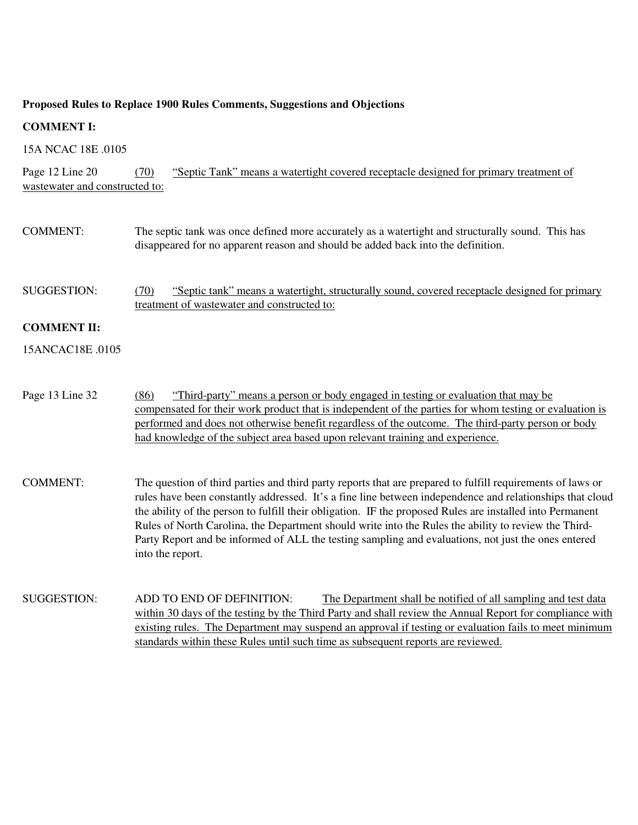#### **Proposed Rules to Replace 1900 Rules Comments, Suggestions and Objections**

### **COMMENT I:**

15A NCAC 18E .0105

Page 12 Line 20 (70) "Septic Tank" means a watertight covered receptacle designed for primary treatment of wastewater and constructed to:

- COMMENT: The septic tank was once defined more accurately as a watertight and structurally sound. This has disappeared for no apparent reason and should be added back into the definition.
- SUGGESTION: (70) "Septic tank" means a watertight, structurally sound, covered receptacle designed for primary treatment of wastewater and constructed to:

#### **COMMENT II:**

15ANCAC18E .0105

Page 13 Line 32 (86) "Third-party" means a person or body engaged in testing or evaluation that may be compensated for their work product that is independent of the parties for whom testing or evaluation is performed and does not otherwise benefit regardless of the outcome. The third-party person or body had knowledge of the subject area based upon relevant training and experience.

- COMMENT: The question of third parties and third party reports that are prepared to fulfill requirements of laws or rules have been constantly addressed. It's a fine line between independence and relationships that cloud the ability of the person to fulfill their obligation. IF the proposed Rules are installed into Permanent Rules of North Carolina, the Department should write into the Rules the ability to review the Third-Party Report and be informed of ALL the testing sampling and evaluations, not just the ones entered into the report.
- SUGGESTION: ADD TO END OF DEFINITION: The Department shall be notified of all sampling and test data within 30 days of the testing by the Third Party and shall review the Annual Report for compliance with existing rules. The Department may suspend an approval if testing or evaluation fails to meet minimum standards within these Rules until such time as subsequent reports are reviewed.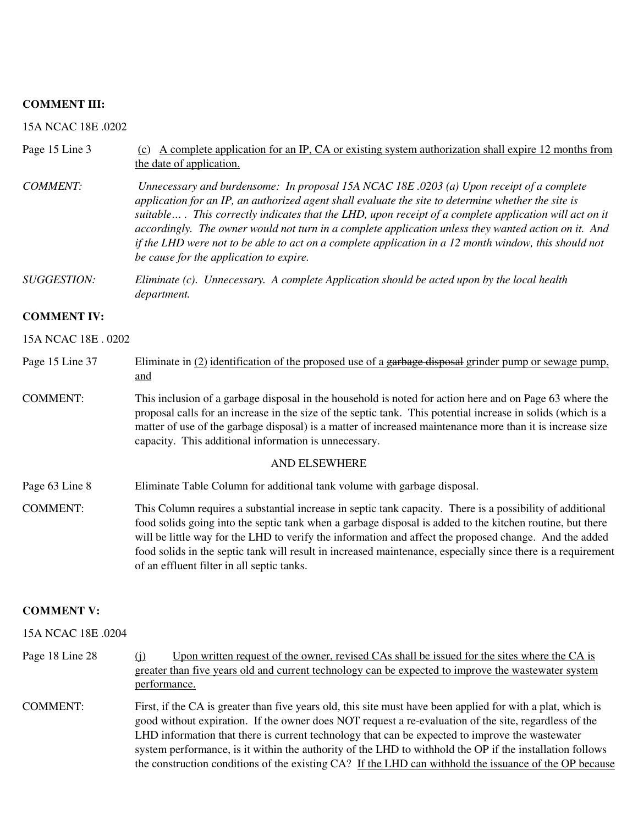#### **COMMENT III:**

15A NCAC 18E .0202

| Page 15 Line 3      | A complete application for an IP, CA or existing system authorization shall expire 12 months from<br>(c)<br>the date of application.                                                                                                                                                                                                                                                                                                                                                                                                                                  |
|---------------------|-----------------------------------------------------------------------------------------------------------------------------------------------------------------------------------------------------------------------------------------------------------------------------------------------------------------------------------------------------------------------------------------------------------------------------------------------------------------------------------------------------------------------------------------------------------------------|
| <b>COMMENT:</b>     | Unnecessary and burdensome: In proposal 15A NCAC 18E .0203 (a) Upon receipt of a complete<br>application for an IP, an authorized agent shall evaluate the site to determine whether the site is<br>suitable This correctly indicates that the LHD, upon receipt of a complete application will act on it<br>accordingly. The owner would not turn in a complete application unless they wanted action on it. And<br>if the LHD were not to be able to act on a complete application in a 12 month window, this should not<br>be cause for the application to expire. |
| <b>SUGGESTION:</b>  | Eliminate (c). Unnecessary. A complete Application should be acted upon by the local health<br>department.                                                                                                                                                                                                                                                                                                                                                                                                                                                            |
| <b>COMMENT IV:</b>  |                                                                                                                                                                                                                                                                                                                                                                                                                                                                                                                                                                       |
| 15A NCAC 18E . 0202 |                                                                                                                                                                                                                                                                                                                                                                                                                                                                                                                                                                       |
| Page 15 Line 37     | Eliminate in $(2)$ identification of the proposed use of a garbage disposal grinder pump or sewage pump,<br>and                                                                                                                                                                                                                                                                                                                                                                                                                                                       |
| <b>COMMENT:</b>     | This inclusion of a garbage disposal in the household is noted for action here and on Page 63 where the<br>proposal calls for an increase in the size of the septic tank. This potential increase in solids (which is a<br>matter of use of the garbage disposal) is a matter of increased maintenance more than it is increase size<br>capacity. This additional information is unnecessary.                                                                                                                                                                         |

#### AND ELSEWHERE

- Page 63 Line 8 Eliminate Table Column for additional tank volume with garbage disposal.
- COMMENT: This Column requires a substantial increase in septic tank capacity. There is a possibility of additional food solids going into the septic tank when a garbage disposal is added to the kitchen routine, but there will be little way for the LHD to verify the information and affect the proposed change. And the added food solids in the septic tank will result in increased maintenance, especially since there is a requirement of an effluent filter in all septic tanks.

#### **COMMENT V:**

#### 15A NCAC 18E 0204

- Page 18 Line 28 (j) Upon written request of the owner, revised CAs shall be issued for the sites where the CA is greater than five years old and current technology can be expected to improve the wastewater system performance.
- COMMENT: First, if the CA is greater than five years old, this site must have been applied for with a plat, which is good without expiration. If the owner does NOT request a re-evaluation of the site, regardless of the LHD information that there is current technology that can be expected to improve the wastewater system performance, is it within the authority of the LHD to withhold the OP if the installation follows the construction conditions of the existing CA? If the LHD can withhold the issuance of the OP because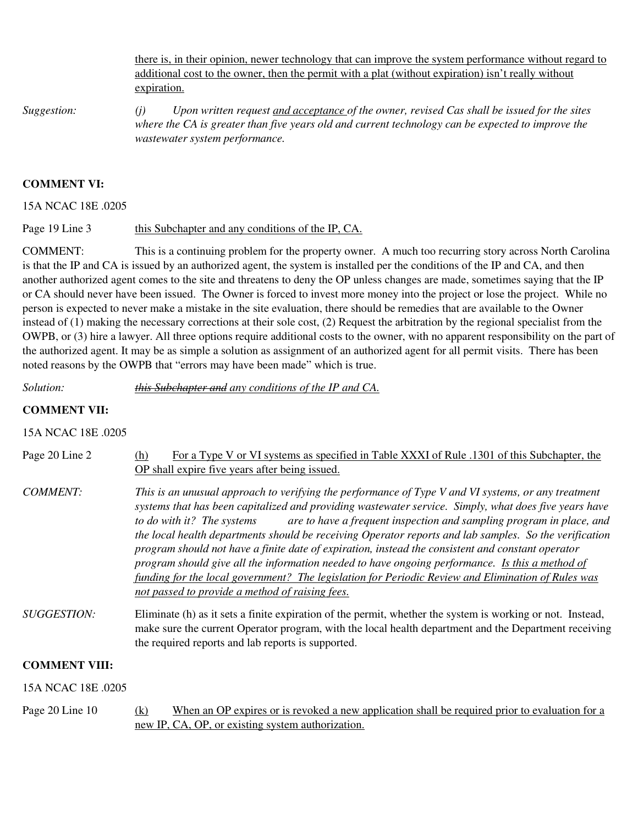there is, in their opinion, newer technology that can improve the system performance without regard to additional cost to the owner, then the permit with a plat (without expiration) isn't really without expiration.

*Suggestion: (j) Upon written request and acceptance of the owner, revised Cas shall be issued for the sites where the CA is greater than five years old and current technology can be expected to improve the wastewater system performance.* 

#### **COMMENT VI:**

15A NCAC 18E .0205

Page 19 Line 3 this Subchapter and any conditions of the IP, CA.

COMMENT: This is a continuing problem for the property owner. A much too recurring story across North Carolina is that the IP and CA is issued by an authorized agent, the system is installed per the conditions of the IP and CA, and then another authorized agent comes to the site and threatens to deny the OP unless changes are made, sometimes saying that the IP or CA should never have been issued. The Owner is forced to invest more money into the project or lose the project. While no person is expected to never make a mistake in the site evaluation, there should be remedies that are available to the Owner instead of (1) making the necessary corrections at their sole cost, (2) Request the arbitration by the regional specialist from the OWPB, or (3) hire a lawyer. All three options require additional costs to the owner, with no apparent responsibility on the part of the authorized agent. It may be as simple a solution as assignment of an authorized agent for all permit visits. There has been noted reasons by the OWPB that "errors may have been made" which is true.

*Solution: this Subchapter and any conditions of the IP and CA.* 

#### **COMMENT VII:**

15A NCAC 18E .0205

| Page 20 Line 2     | For a Type V or VI systems as specified in Table XXXI of Rule .1301 of this Subchapter, the<br>(h)<br>OP shall expire five years after being issued.                                                                                                                                                                                                                                                                                                                                                                                                                                                                                                                                                                                                                                          |
|--------------------|-----------------------------------------------------------------------------------------------------------------------------------------------------------------------------------------------------------------------------------------------------------------------------------------------------------------------------------------------------------------------------------------------------------------------------------------------------------------------------------------------------------------------------------------------------------------------------------------------------------------------------------------------------------------------------------------------------------------------------------------------------------------------------------------------|
| COMMENT:           | This is an unusual approach to verifying the performance of Type V and VI systems, or any treatment<br>systems that has been capitalized and providing wastewater service. Simply, what does five years have<br>are to have a frequent inspection and sampling program in place, and<br>to do with it? The systems<br>the local health departments should be receiving Operator reports and lab samples. So the verification<br>program should not have a finite date of expiration, instead the consistent and constant operator<br>program should give all the information needed to have ongoing performance. Is this a method of<br>funding for the local government? The legislation for Periodic Review and Elimination of Rules was<br>not passed to provide a method of raising fees. |
| <i>SUGGESTION:</i> | Eliminate (h) as it sets a finite expiration of the permit, whether the system is working or not. Instead,<br>make gure the gurrent Operator program, with the look health department and the Department requiring                                                                                                                                                                                                                                                                                                                                                                                                                                                                                                                                                                            |

make sure the current Operator program, with the local health department and the Department receiving the required reports and lab reports is supported.

### **COMMENT VIII:**

15A NCAC 18E .0205

Page 20 Line 10 (k) When an OP expires or is revoked a new application shall be required prior to evaluation for a new IP, CA, OP, or existing system authorization.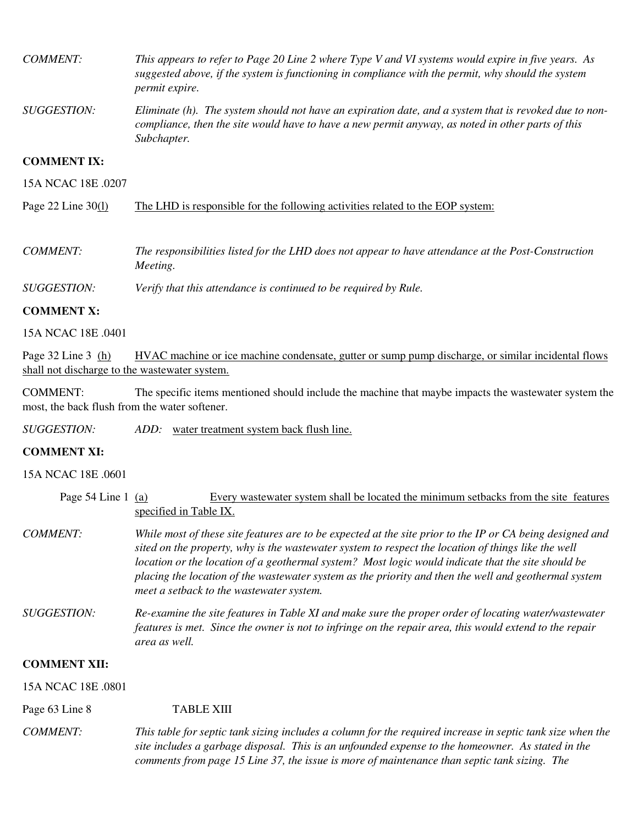| COMMENT:             | This appears to refer to Page 20 Line 2 where Type V and VI systems would expire in five years. As<br>suggested above, if the system is functioning in compliance with the permit, why should the system<br>permit expire. |
|----------------------|----------------------------------------------------------------------------------------------------------------------------------------------------------------------------------------------------------------------------|
| <i>SUGGESTION:</i>   | Eliminate (h). The system should not have an expiration date, and a system that is revoked due to non-<br>compliance, then the site would have to have a new permit anyway, as noted in other parts of this<br>Subchapter. |
| <b>COMMENT IX:</b>   |                                                                                                                                                                                                                            |
| 15A NCAC 18E 0207    |                                                                                                                                                                                                                            |
| Page 22 Line $30(1)$ | The LHD is responsible for the following activities related to the EOP system:                                                                                                                                             |

*COMMENT: The responsibilities listed for the LHD does not appear to have attendance at the Post-Construction Meeting.* 

*SUGGESTION: Verify that this attendance is continued to be required by Rule.* 

#### **COMMENT X:**

15A NCAC 18E .0401

Page 32 Line 3 (h) HVAC machine or ice machine condensate, gutter or sump pump discharge, or similar incidental flows shall not discharge to the wastewater system.

COMMENT: The specific items mentioned should include the machine that maybe impacts the wastewater system the most, the back flush from the water softener.

*SUGGESTION: ADD:* water treatment system back flush line.

#### **COMMENT XI:**

15A NCAC 18E .0601

| Page 54 Line 1 (a)  | Every was tewater system shall be located the minimum set backs from the site features<br>specified in Table IX.                                                                                                                                                                                                                                                                                                                                                            |  |  |  |
|---------------------|-----------------------------------------------------------------------------------------------------------------------------------------------------------------------------------------------------------------------------------------------------------------------------------------------------------------------------------------------------------------------------------------------------------------------------------------------------------------------------|--|--|--|
| <b>COMMENT:</b>     | While most of these site features are to be expected at the site prior to the IP or CA being designed and<br>sited on the property, why is the wastewater system to respect the location of things like the well<br>location or the location of a geothermal system? Most logic would indicate that the site should be<br>placing the location of the wastewater system as the priority and then the well and geothermal system<br>meet a setback to the wastewater system. |  |  |  |
| <i>SUGGESTION:</i>  | Re-examine the site features in Table XI and make sure the proper order of locating water/wastewater<br>features is met. Since the owner is not to infringe on the repair area, this would extend to the repair<br>area as well.                                                                                                                                                                                                                                            |  |  |  |
| <b>COMMENT XII:</b> |                                                                                                                                                                                                                                                                                                                                                                                                                                                                             |  |  |  |
| 15A NCAC 18E .0801  |                                                                                                                                                                                                                                                                                                                                                                                                                                                                             |  |  |  |
| Page 63 Line 8      | <b>TABLE XIII</b>                                                                                                                                                                                                                                                                                                                                                                                                                                                           |  |  |  |
| <b>COMMENT:</b>     | This table for septic tank sizing includes a column for the required increase in septic tank size when the<br>site includes a garbage disposal. This is an unfounded expense to the homeowner. As stated in the                                                                                                                                                                                                                                                             |  |  |  |

*comments from page 15 Line 37, the issue is more of maintenance than septic tank sizing. The*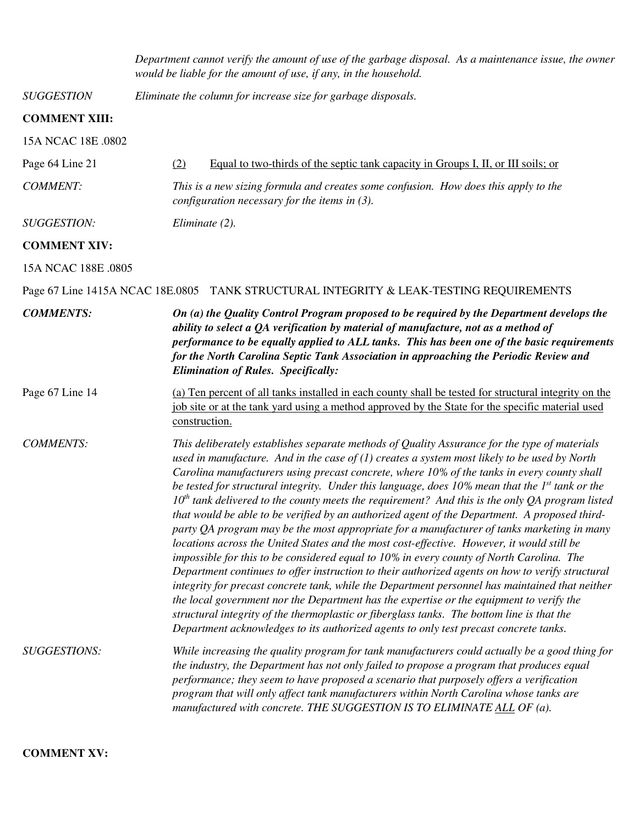|                      | Department cannot verify the amount of use of the garbage disposal. As a maintenance issue, the owner<br>would be liable for the amount of use, if any, in the household.                                                                                                                                                                                                                                                                                                                                                                                                                                                                                                                                                                                                                                                                                                                                                                                                                                                                                                                                                                                                                                                                                                                                                                                                                         |  |  |
|----------------------|---------------------------------------------------------------------------------------------------------------------------------------------------------------------------------------------------------------------------------------------------------------------------------------------------------------------------------------------------------------------------------------------------------------------------------------------------------------------------------------------------------------------------------------------------------------------------------------------------------------------------------------------------------------------------------------------------------------------------------------------------------------------------------------------------------------------------------------------------------------------------------------------------------------------------------------------------------------------------------------------------------------------------------------------------------------------------------------------------------------------------------------------------------------------------------------------------------------------------------------------------------------------------------------------------------------------------------------------------------------------------------------------------|--|--|
| <b>SUGGESTION</b>    | Eliminate the column for increase size for garbage disposals.                                                                                                                                                                                                                                                                                                                                                                                                                                                                                                                                                                                                                                                                                                                                                                                                                                                                                                                                                                                                                                                                                                                                                                                                                                                                                                                                     |  |  |
| <b>COMMENT XIII:</b> |                                                                                                                                                                                                                                                                                                                                                                                                                                                                                                                                                                                                                                                                                                                                                                                                                                                                                                                                                                                                                                                                                                                                                                                                                                                                                                                                                                                                   |  |  |
| 15A NCAC 18E .0802   |                                                                                                                                                                                                                                                                                                                                                                                                                                                                                                                                                                                                                                                                                                                                                                                                                                                                                                                                                                                                                                                                                                                                                                                                                                                                                                                                                                                                   |  |  |
| Page 64 Line 21      | Equal to two-thirds of the septic tank capacity in Groups I, II, or III soils; or<br>(2)                                                                                                                                                                                                                                                                                                                                                                                                                                                                                                                                                                                                                                                                                                                                                                                                                                                                                                                                                                                                                                                                                                                                                                                                                                                                                                          |  |  |
| <b>COMMENT:</b>      | This is a new sizing formula and creates some confusion. How does this apply to the<br>configuration necessary for the items in $(3)$ .                                                                                                                                                                                                                                                                                                                                                                                                                                                                                                                                                                                                                                                                                                                                                                                                                                                                                                                                                                                                                                                                                                                                                                                                                                                           |  |  |
| <b>SUGGESTION:</b>   | Eliminate (2).                                                                                                                                                                                                                                                                                                                                                                                                                                                                                                                                                                                                                                                                                                                                                                                                                                                                                                                                                                                                                                                                                                                                                                                                                                                                                                                                                                                    |  |  |
| <b>COMMENT XIV:</b>  |                                                                                                                                                                                                                                                                                                                                                                                                                                                                                                                                                                                                                                                                                                                                                                                                                                                                                                                                                                                                                                                                                                                                                                                                                                                                                                                                                                                                   |  |  |
| 15A NCAC 188E .0805  |                                                                                                                                                                                                                                                                                                                                                                                                                                                                                                                                                                                                                                                                                                                                                                                                                                                                                                                                                                                                                                                                                                                                                                                                                                                                                                                                                                                                   |  |  |
|                      | Page 67 Line 1415A NCAC 18E.0805 TANK STRUCTURAL INTEGRITY & LEAK-TESTING REQUIREMENTS                                                                                                                                                                                                                                                                                                                                                                                                                                                                                                                                                                                                                                                                                                                                                                                                                                                                                                                                                                                                                                                                                                                                                                                                                                                                                                            |  |  |
| <b>COMMENTS:</b>     | On (a) the Quality Control Program proposed to be required by the Department develops the<br>ability to select a QA verification by material of manufacture, not as a method of<br>performance to be equally applied to ALL tanks. This has been one of the basic requirements<br>for the North Carolina Septic Tank Association in approaching the Periodic Review and<br><b>Elimination of Rules. Specifically:</b>                                                                                                                                                                                                                                                                                                                                                                                                                                                                                                                                                                                                                                                                                                                                                                                                                                                                                                                                                                             |  |  |
| Page 67 Line 14      | (a) Ten percent of all tanks installed in each county shall be tested for structural integrity on the<br>job site or at the tank yard using a method approved by the State for the specific material used<br>construction.                                                                                                                                                                                                                                                                                                                                                                                                                                                                                                                                                                                                                                                                                                                                                                                                                                                                                                                                                                                                                                                                                                                                                                        |  |  |
| <b>COMMENTS:</b>     | This deliberately establishes separate methods of Quality Assurance for the type of materials<br>used in manufacture. And in the case of $(1)$ creates a system most likely to be used by North<br>Carolina manufacturers using precast concrete, where 10% of the tanks in every county shall<br>be tested for structural integrity. Under this language, does $10\%$ mean that the $1^{st}$ tank or the<br>$10th$ tank delivered to the county meets the requirement? And this is the only QA program listed<br>that would be able to be verified by an authorized agent of the Department. A proposed third-<br>party QA program may be the most appropriate for a manufacturer of tanks marketing in many<br>locations across the United States and the most cost-effective. However, it would still be<br>impossible for this to be considered equal to 10% in every county of North Carolina. The<br>Department continues to offer instruction to their authorized agents on how to verify structural<br>integrity for precast concrete tank, while the Department personnel has maintained that neither<br>the local government nor the Department has the expertise or the equipment to verify the<br>structural integrity of the thermoplastic or fiberglass tanks. The bottom line is that the<br>Department acknowledges to its authorized agents to only test precast concrete tanks. |  |  |
| <b>SUGGESTIONS:</b>  | While increasing the quality program for tank manufacturers could actually be a good thing for<br>the industry, the Department has not only failed to propose a program that produces equal<br>performance; they seem to have proposed a scenario that purposely offers a verification<br>program that will only affect tank manufacturers within North Carolina whose tanks are<br>manufactured with concrete. THE SUGGESTION IS TO ELIMINATE ALL OF (a).                                                                                                                                                                                                                                                                                                                                                                                                                                                                                                                                                                                                                                                                                                                                                                                                                                                                                                                                        |  |  |

### **COMMENT XV:**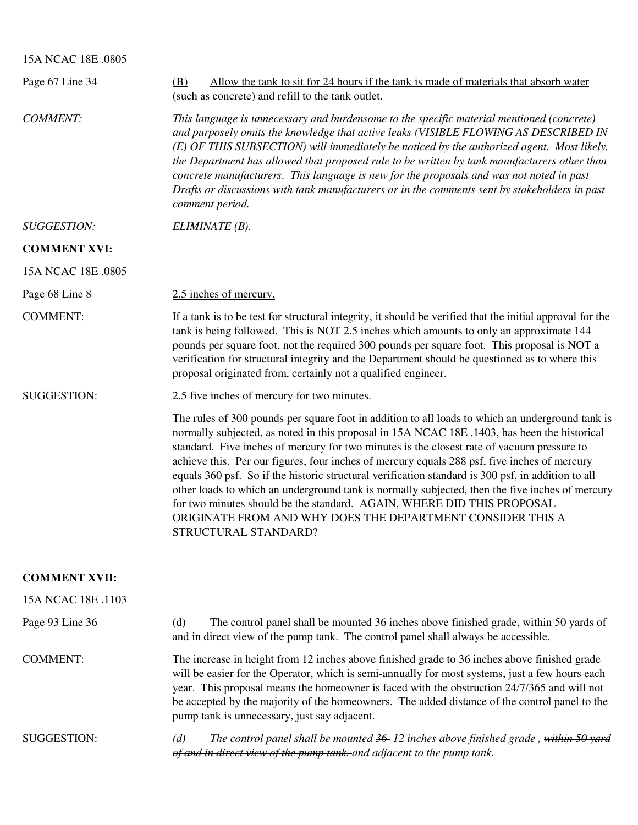### 15A NCAC 18E .0805

| Page 67 Line 34     | Allow the tank to sit for 24 hours if the tank is made of materials that absorb water<br>(B)<br>(such as concrete) and refill to the tank outlet.                                                                                                                                                                                                                                                                                                                                                                                                                                                                                                                                                                                                                       |
|---------------------|-------------------------------------------------------------------------------------------------------------------------------------------------------------------------------------------------------------------------------------------------------------------------------------------------------------------------------------------------------------------------------------------------------------------------------------------------------------------------------------------------------------------------------------------------------------------------------------------------------------------------------------------------------------------------------------------------------------------------------------------------------------------------|
| <b>COMMENT:</b>     | This language is unnecessary and burdensome to the specific material mentioned (concrete)<br>and purposely omits the knowledge that active leaks (VISIBLE FLOWING AS DESCRIBED IN<br>(E) OF THIS SUBSECTION) will immediately be noticed by the authorized agent. Most likely,<br>the Department has allowed that proposed rule to be written by tank manufacturers other than<br>concrete manufacturers. This language is new for the proposals and was not noted in past<br>Drafts or discussions with tank manufacturers or in the comments sent by stakeholders in past<br>comment period.                                                                                                                                                                          |
| <b>SUGGESTION:</b>  | ELIMINATE (B).                                                                                                                                                                                                                                                                                                                                                                                                                                                                                                                                                                                                                                                                                                                                                          |
| <b>COMMENT XVI:</b> |                                                                                                                                                                                                                                                                                                                                                                                                                                                                                                                                                                                                                                                                                                                                                                         |
| 15A NCAC 18E .0805  |                                                                                                                                                                                                                                                                                                                                                                                                                                                                                                                                                                                                                                                                                                                                                                         |
| Page 68 Line 8      | 2.5 inches of mercury.                                                                                                                                                                                                                                                                                                                                                                                                                                                                                                                                                                                                                                                                                                                                                  |
| <b>COMMENT:</b>     | If a tank is to be test for structural integrity, it should be verified that the initial approval for the<br>tank is being followed. This is NOT 2.5 inches which amounts to only an approximate 144<br>pounds per square foot, not the required 300 pounds per square foot. This proposal is NOT a<br>verification for structural integrity and the Department should be questioned as to where this<br>proposal originated from, certainly not a qualified engineer.                                                                                                                                                                                                                                                                                                  |
| <b>SUGGESTION:</b>  | 2.5 five inches of mercury for two minutes.                                                                                                                                                                                                                                                                                                                                                                                                                                                                                                                                                                                                                                                                                                                             |
|                     | The rules of 300 pounds per square foot in addition to all loads to which an underground tank is<br>normally subjected, as noted in this proposal in 15A NCAC 18E .1403, has been the historical<br>standard. Five inches of mercury for two minutes is the closest rate of vacuum pressure to<br>achieve this. Per our figures, four inches of mercury equals 288 psf, five inches of mercury<br>equals 360 psf. So if the historic structural verification standard is 300 psf, in addition to all<br>other loads to which an underground tank is normally subjected, then the five inches of mercury<br>for two minutes should be the standard. AGAIN, WHERE DID THIS PROPOSAL<br>ORIGINATE FROM AND WHY DOES THE DEPARTMENT CONSIDER THIS A<br>STRUCTURAL STANDARD? |

### **COMMENT XVII:**

| 15A NCAC 18E .1103 |                                                                                                                                                                                                                                                                                                                                                                                                                                                 |
|--------------------|-------------------------------------------------------------------------------------------------------------------------------------------------------------------------------------------------------------------------------------------------------------------------------------------------------------------------------------------------------------------------------------------------------------------------------------------------|
| Page 93 Line 36    | The control panel shall be mounted 36 inches above finished grade, within 50 yards of<br>(d)<br>and in direct view of the pump tank. The control panel shall always be accessible.                                                                                                                                                                                                                                                              |
| COMMENT:           | The increase in height from 12 inches above finished grade to 36 inches above finished grade<br>will be easier for the Operator, which is semi-annually for most systems, just a few hours each<br>year. This proposal means the homeowner is faced with the obstruction 24/7/365 and will not<br>be accepted by the majority of the homeowners. The added distance of the control panel to the<br>pump tank is unnecessary, just say adjacent. |
| SUGGESTION:        | The control panel shall be mounted 36-12 inches above finished grade, within 50 yard<br>(d)<br>of and in direct view of the pump tank. and adjacent to the pump tank.                                                                                                                                                                                                                                                                           |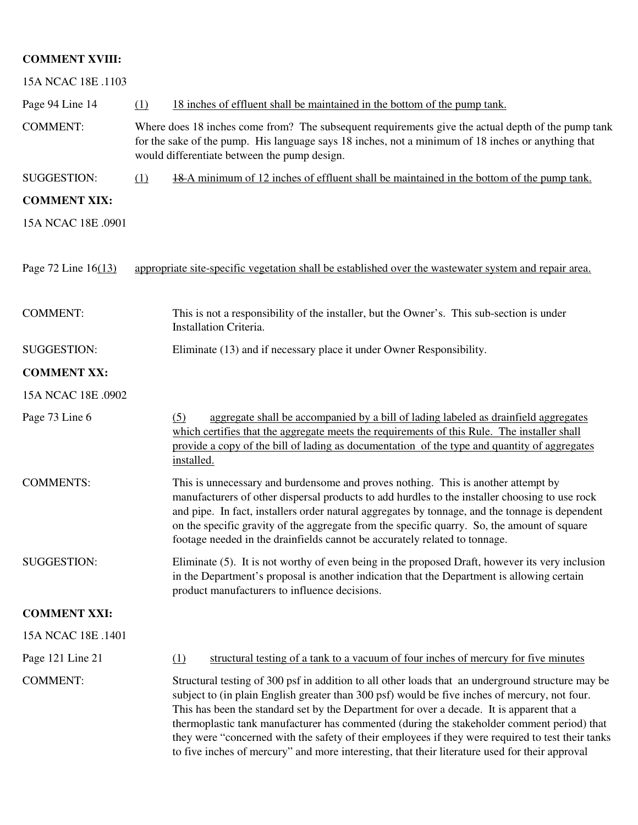# **COMMENT XVIII:**

| 15A NCAC 18E .1103  |          |                                                                                                                                                                                                                                                                                                                                                                                                                                                                                                                                                                                                      |
|---------------------|----------|------------------------------------------------------------------------------------------------------------------------------------------------------------------------------------------------------------------------------------------------------------------------------------------------------------------------------------------------------------------------------------------------------------------------------------------------------------------------------------------------------------------------------------------------------------------------------------------------------|
| Page 94 Line 14     | (1)      | 18 inches of effluent shall be maintained in the bottom of the pump tank.                                                                                                                                                                                                                                                                                                                                                                                                                                                                                                                            |
| <b>COMMENT:</b>     |          | Where does 18 inches come from? The subsequent requirements give the actual depth of the pump tank<br>for the sake of the pump. His language says 18 inches, not a minimum of 18 inches or anything that<br>would differentiate between the pump design.                                                                                                                                                                                                                                                                                                                                             |
| <b>SUGGESTION:</b>  | (1)      | <b>18.4</b> minimum of 12 inches of effluent shall be maintained in the bottom of the pump tank.                                                                                                                                                                                                                                                                                                                                                                                                                                                                                                     |
| <b>COMMENT XIX:</b> |          |                                                                                                                                                                                                                                                                                                                                                                                                                                                                                                                                                                                                      |
| 15A NCAC 18E .0901  |          |                                                                                                                                                                                                                                                                                                                                                                                                                                                                                                                                                                                                      |
| Page 72 Line 16(13) |          | appropriate site-specific vegetation shall be established over the wastewater system and repair area.                                                                                                                                                                                                                                                                                                                                                                                                                                                                                                |
| <b>COMMENT:</b>     |          | This is not a responsibility of the installer, but the Owner's. This sub-section is under<br>Installation Criteria.                                                                                                                                                                                                                                                                                                                                                                                                                                                                                  |
| <b>SUGGESTION:</b>  |          | Eliminate (13) and if necessary place it under Owner Responsibility.                                                                                                                                                                                                                                                                                                                                                                                                                                                                                                                                 |
| <b>COMMENT XX:</b>  |          |                                                                                                                                                                                                                                                                                                                                                                                                                                                                                                                                                                                                      |
| 15A NCAC 18E .0902  |          |                                                                                                                                                                                                                                                                                                                                                                                                                                                                                                                                                                                                      |
| Page 73 Line 6      | (5)      | aggregate shall be accompanied by a bill of lading labeled as drainfield aggregates<br>which certifies that the aggregate meets the requirements of this Rule. The installer shall<br>provide a copy of the bill of lading as documentation of the type and quantity of aggregates<br>installed.                                                                                                                                                                                                                                                                                                     |
| <b>COMMENTS:</b>    |          | This is unnecessary and burdensome and proves nothing. This is another attempt by<br>manufacturers of other dispersal products to add hurdles to the installer choosing to use rock<br>and pipe. In fact, installers order natural aggregates by tonnage, and the tonnage is dependent<br>on the specific gravity of the aggregate from the specific quarry. So, the amount of square<br>footage needed in the drainfields cannot be accurately related to tonnage.                                                                                                                                  |
| SUGGESTION:         |          | Eliminate (5). It is not worthy of even being in the proposed Draft, however its very inclusion<br>in the Department's proposal is another indication that the Department is allowing certain<br>product manufacturers to influence decisions.                                                                                                                                                                                                                                                                                                                                                       |
| <b>COMMENT XXI:</b> |          |                                                                                                                                                                                                                                                                                                                                                                                                                                                                                                                                                                                                      |
| 15A NCAC 18E .1401  |          |                                                                                                                                                                                                                                                                                                                                                                                                                                                                                                                                                                                                      |
| Page 121 Line 21    | $\Omega$ | structural testing of a tank to a vacuum of four inches of mercury for five minutes                                                                                                                                                                                                                                                                                                                                                                                                                                                                                                                  |
| <b>COMMENT:</b>     |          | Structural testing of 300 psf in addition to all other loads that an underground structure may be<br>subject to (in plain English greater than 300 psf) would be five inches of mercury, not four.<br>This has been the standard set by the Department for over a decade. It is apparent that a<br>thermoplastic tank manufacturer has commented (during the stakeholder comment period) that<br>they were "concerned with the safety of their employees if they were required to test their tanks<br>to five inches of mercury" and more interesting, that their literature used for their approval |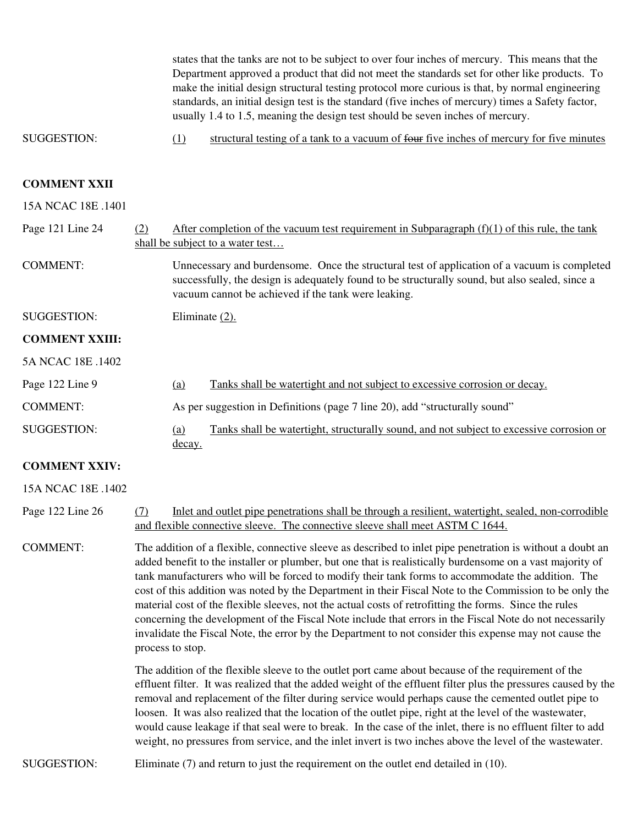states that the tanks are not to be subject to over four inches of mercury. This means that the Department approved a product that did not meet the standards set for other like products. To make the initial design structural testing protocol more curious is that, by normal engineering standards, an initial design test is the standard (five inches of mercury) times a Safety factor, usually 1.4 to 1.5, meaning the design test should be seven inches of mercury.

SUGGESTION: (1) structural testing of a tank to a vacuum of four five inches of mercury for five minutes

#### **COMMENT XXII**

15A NCAC 18E .1401

| Page 121 Line 24      | (2) |                | After completion of the vacuum test requirement in Subparagraph $(f)(1)$ of this rule, the tank<br>shall be subject to a water test                                                                                                                    |
|-----------------------|-----|----------------|--------------------------------------------------------------------------------------------------------------------------------------------------------------------------------------------------------------------------------------------------------|
| <b>COMMENT:</b>       |     |                | Unnecessary and burdensome. Once the structural test of application of a vacuum is completed<br>successfully, the design is adequately found to be structurally sound, but also sealed, since a<br>vacuum cannot be achieved if the tank were leaking. |
| SUGGESTION:           |     | Eliminate (2). |                                                                                                                                                                                                                                                        |
| <b>COMMENT XXIII:</b> |     |                |                                                                                                                                                                                                                                                        |
| 5A NCAC 18E .1402     |     |                |                                                                                                                                                                                                                                                        |
| Page 122 Line 9       |     | (a)            | Tanks shall be watertight and not subject to excessive corrosion or decay.                                                                                                                                                                             |
| <b>COMMENT:</b>       |     |                | As per suggestion in Definitions (page 7 line 20), add "structurally sound"                                                                                                                                                                            |
| <b>SUGGESTION:</b>    |     | <u>(a)</u>     | Tanks shall be watertight, structurally sound, and not subject to excessive corrosion or                                                                                                                                                               |

#### **COMMENT XXIV:**

decay.

#### 15A NCAC 18E .1402

Page 122 Line 26 (7) Inlet and outlet pipe penetrations shall be through a resilient, watertight, sealed, non-corrodible and flexible connective sleeve. The connective sleeve shall meet ASTM C 1644.

COMMENT: The addition of a flexible, connective sleeve as described to inlet pipe penetration is without a doubt an added benefit to the installer or plumber, but one that is realistically burdensome on a vast majority of tank manufacturers who will be forced to modify their tank forms to accommodate the addition. The cost of this addition was noted by the Department in their Fiscal Note to the Commission to be only the material cost of the flexible sleeves, not the actual costs of retrofitting the forms. Since the rules concerning the development of the Fiscal Note include that errors in the Fiscal Note do not necessarily invalidate the Fiscal Note, the error by the Department to not consider this expense may not cause the process to stop.

> The addition of the flexible sleeve to the outlet port came about because of the requirement of the effluent filter. It was realized that the added weight of the effluent filter plus the pressures caused by the removal and replacement of the filter during service would perhaps cause the cemented outlet pipe to loosen. It was also realized that the location of the outlet pipe, right at the level of the wastewater, would cause leakage if that seal were to break. In the case of the inlet, there is no effluent filter to add weight, no pressures from service, and the inlet invert is two inches above the level of the wastewater.

SUGGESTION: Eliminate (7) and return to just the requirement on the outlet end detailed in (10).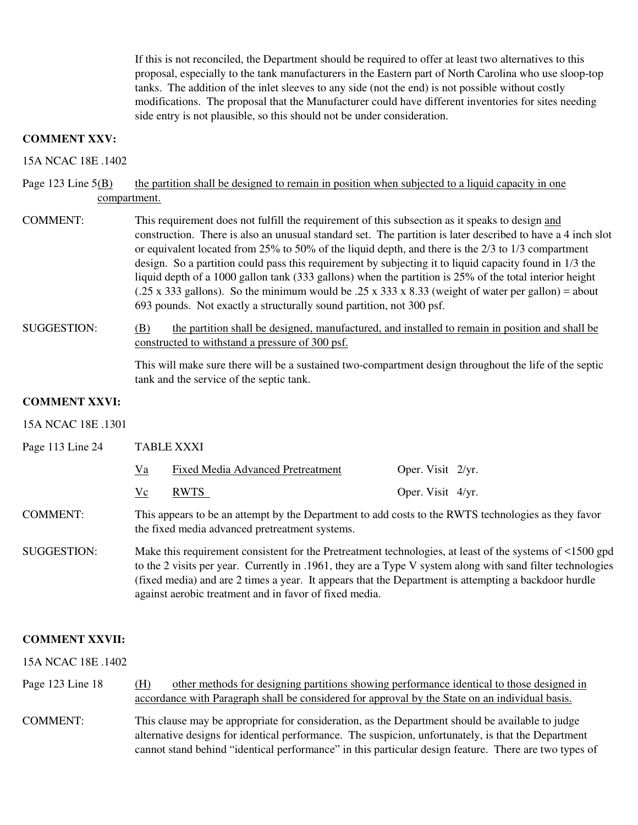If this is not reconciled, the Department should be required to offer at least two alternatives to this proposal, especially to the tank manufacturers in the Eastern part of North Carolina who use sloop-top tanks. The addition of the inlet sleeves to any side (not the end) is not possible without costly modifications. The proposal that the Manufacturer could have different inventories for sites needing side entry is not plausible, so this should not be under consideration.

### **COMMENT XXV:**

15A NCAC 18E .1402

Page 123 Line  $5(B)$  the partition shall be designed to remain in position when subjected to a liquid capacity in one compartment.

- COMMENT: This requirement does not fulfill the requirement of this subsection as it speaks to design and construction. There is also an unusual standard set. The partition is later described to have a 4 inch slot or equivalent located from 25% to 50% of the liquid depth, and there is the 2/3 to 1/3 compartment design. So a partition could pass this requirement by subjecting it to liquid capacity found in 1/3 the liquid depth of a 1000 gallon tank (333 gallons) when the partition is 25% of the total interior height (.25 x 333 gallons). So the minimum would be .25 x 333 x 8.33 (weight of water per gallon) = about 693 pounds. Not exactly a structurally sound partition, not 300 psf.
- SUGGESTION: (B) the partition shall be designed, manufactured, and installed to remain in position and shall be constructed to withstand a pressure of 300 psf.

 This will make sure there will be a sustained two-compartment design throughout the life of the septic tank and the service of the septic tank.

### **COMMENT XXVI:**

#### 15A NCAC 18E .1301

Page 113 Line 24 TABLE XXXI

|    | Fixed Media Advanced Pretreatment | Oper. Visit $2/yr$ . |  |
|----|-----------------------------------|----------------------|--|
| Vc | <b>RWTS</b>                       | Oper. Visit 4/yr.    |  |

### COMMENT: This appears to be an attempt by the Department to add costs to the RWTS technologies as they favor the fixed media advanced pretreatment systems.

SUGGESTION: Make this requirement consistent for the Pretreatment technologies, at least of the systems of <1500 gpd to the 2 visits per year. Currently in .1961, they are a Type V system along with sand filter technologies (fixed media) and are 2 times a year. It appears that the Department is attempting a backdoor hurdle against aerobic treatment and in favor of fixed media.

#### **COMMENT XXVII:**

15A NCAC 18E .1402

Page 123 Line 18 (H) other methods for designing partitions showing performance identical to those designed in accordance with Paragraph shall be considered for approval by the State on an individual basis. COMMENT: This clause may be appropriate for consideration, as the Department should be available to judge alternative designs for identical performance. The suspicion, unfortunately, is that the Department cannot stand behind "identical performance" in this particular design feature. There are two types of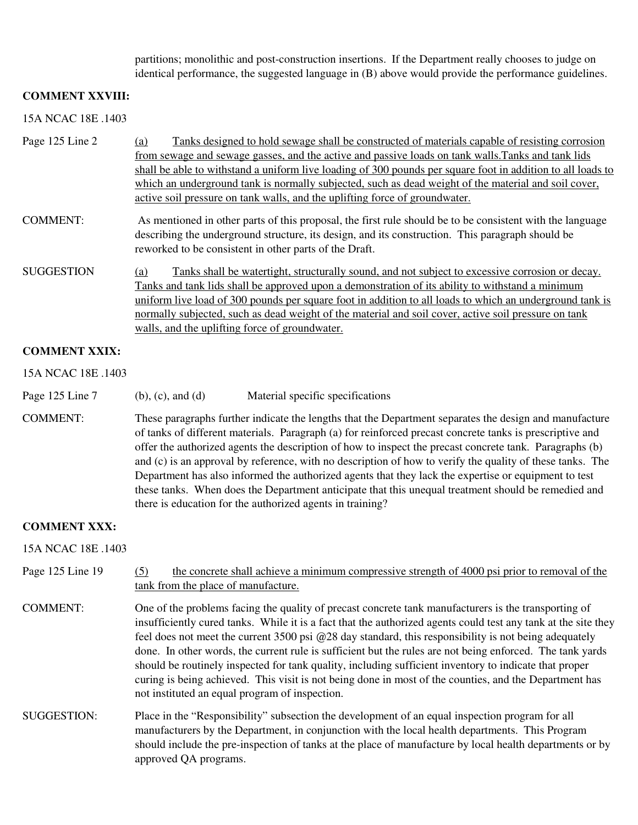partitions; monolithic and post-construction insertions. If the Department really chooses to judge on identical performance, the suggested language in (B) above would provide the performance guidelines.

#### **COMMENT XXVIII:**

15A NCAC 18E .1403

- Page 125 Line 2 (a) Tanks designed to hold sewage shall be constructed of materials capable of resisting corrosion from sewage and sewage gasses, and the active and passive loads on tank walls.Tanks and tank lids shall be able to withstand a uniform live loading of 300 pounds per square foot in addition to all loads to which an underground tank is normally subjected, such as dead weight of the material and soil cover, active soil pressure on tank walls, and the uplifting force of groundwater.
- COMMENT: As mentioned in other parts of this proposal, the first rule should be to be consistent with the language describing the underground structure, its design, and its construction. This paragraph should be reworked to be consistent in other parts of the Draft.
- SUGGESTION (a) Tanks shall be watertight, structurally sound, and not subject to excessive corrosion or decay. Tanks and tank lids shall be approved upon a demonstration of its ability to withstand a minimum uniform live load of 300 pounds per square foot in addition to all loads to which an underground tank is normally subjected, such as dead weight of the material and soil cover, active soil pressure on tank walls, and the uplifting force of groundwater.

#### **COMMENT XXIX:**

15A NCAC 18E .1403

- Page 125 Line 7 (b), (c), and (d) Material specific specifications
- COMMENT: These paragraphs further indicate the lengths that the Department separates the design and manufacture of tanks of different materials. Paragraph (a) for reinforced precast concrete tanks is prescriptive and offer the authorized agents the description of how to inspect the precast concrete tank. Paragraphs (b) and (c) is an approval by reference, with no description of how to verify the quality of these tanks. The Department has also informed the authorized agents that they lack the expertise or equipment to test these tanks. When does the Department anticipate that this unequal treatment should be remedied and there is education for the authorized agents in training?

#### **COMMENT XXX:**

15A NCAC 18E .1403

### Page 125 Line 19 (5) the concrete shall achieve a minimum compressive strength of 4000 psi prior to removal of the tank from the place of manufacture.

- COMMENT: One of the problems facing the quality of precast concrete tank manufacturers is the transporting of insufficiently cured tanks. While it is a fact that the authorized agents could test any tank at the site they feel does not meet the current 3500 psi @28 day standard, this responsibility is not being adequately done. In other words, the current rule is sufficient but the rules are not being enforced. The tank yards should be routinely inspected for tank quality, including sufficient inventory to indicate that proper curing is being achieved. This visit is not being done in most of the counties, and the Department has not instituted an equal program of inspection.
- SUGGESTION: Place in the "Responsibility" subsection the development of an equal inspection program for all manufacturers by the Department, in conjunction with the local health departments. This Program should include the pre-inspection of tanks at the place of manufacture by local health departments or by approved QA programs.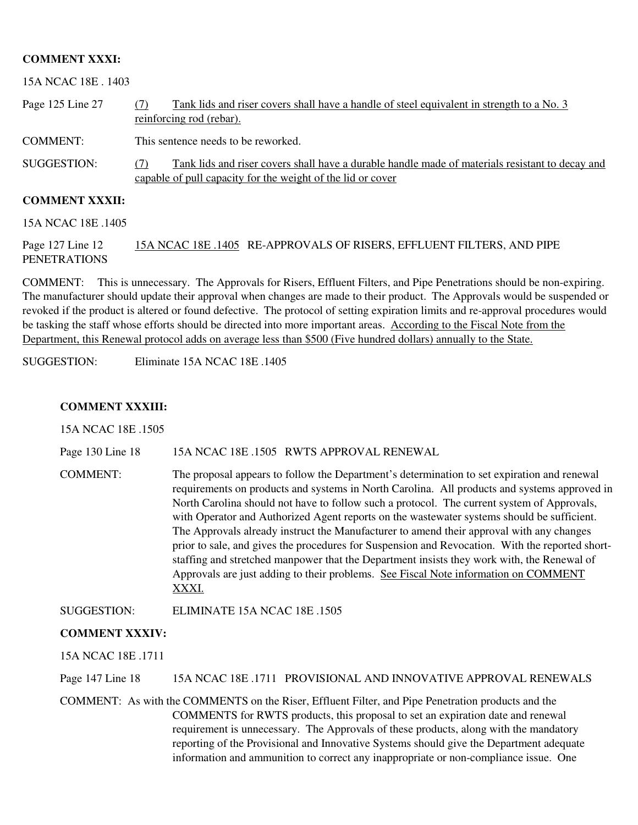#### **COMMENT XXXI:**

15A NCAC 18E . 1403

| Page 125 Line 27 | Tank lids and riser covers shall have a handle of steel equivalent in strength to a No. 3<br>reinforcing rod (rebar).                                                 |
|------------------|-----------------------------------------------------------------------------------------------------------------------------------------------------------------------|
| COMMENT:         | This sentence needs to be reworked.                                                                                                                                   |
| SUGGESTION:      | Tank lids and riser covers shall have a durable handle made of materials resistant to decay and<br>(7)<br>capable of pull capacity for the weight of the lid or cover |

#### **COMMENT XXXII:**

15A NCAC 18E .1405

Page 127 Line 12 15A NCAC 18E .1405 RE-APPROVALS OF RISERS, EFFLUENT FILTERS, AND PIPE PENETRATIONS

COMMENT: This is unnecessary. The Approvals for Risers, Effluent Filters, and Pipe Penetrations should be non-expiring. The manufacturer should update their approval when changes are made to their product. The Approvals would be suspended or revoked if the product is altered or found defective. The protocol of setting expiration limits and re-approval procedures would be tasking the staff whose efforts should be directed into more important areas. According to the Fiscal Note from the Department, this Renewal protocol adds on average less than \$500 (Five hundred dollars) annually to the State.

SUGGESTION: Eliminate 15A NCAC 18E .1405

#### **COMMENT XXXIII:**

15A NCAC 18E .1505

Page 130 Line 18 15A NCAC 18E .1505 RWTS APPROVAL RENEWAL

COMMENT: The proposal appears to follow the Department's determination to set expiration and renewal requirements on products and systems in North Carolina. All products and systems approved in North Carolina should not have to follow such a protocol. The current system of Approvals, with Operator and Authorized Agent reports on the wastewater systems should be sufficient. The Approvals already instruct the Manufacturer to amend their approval with any changes prior to sale, and gives the procedures for Suspension and Revocation. With the reported shortstaffing and stretched manpower that the Department insists they work with, the Renewal of Approvals are just adding to their problems. See Fiscal Note information on COMMENT XXXI.

SUGGESTION: ELIMINATE 15A NCAC 18E .1505

#### **COMMENT XXXIV:**

15A NCAC 18E .1711

Page 147 Line 18 15A NCAC 18E .1711 PROVISIONAL AND INNOVATIVE APPROVAL RENEWALS

COMMENT: As with the COMMENTS on the Riser, Effluent Filter, and Pipe Penetration products and the COMMENTS for RWTS products, this proposal to set an expiration date and renewal requirement is unnecessary. The Approvals of these products, along with the mandatory reporting of the Provisional and Innovative Systems should give the Department adequate information and ammunition to correct any inappropriate or non-compliance issue. One